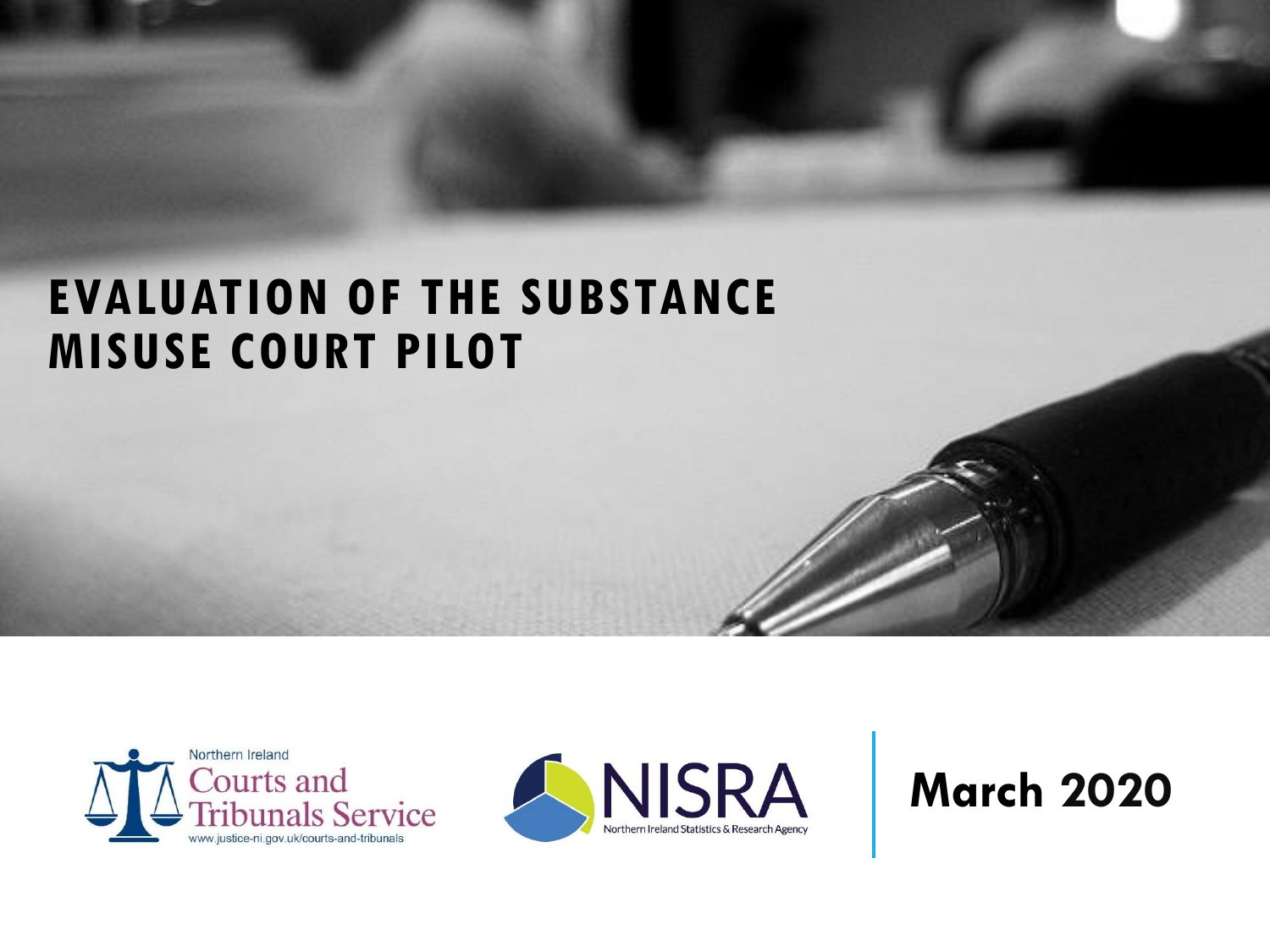## **EVALUATION OF THE SUBSTANCE MISUSE COURT PILOT**





## **March 2020**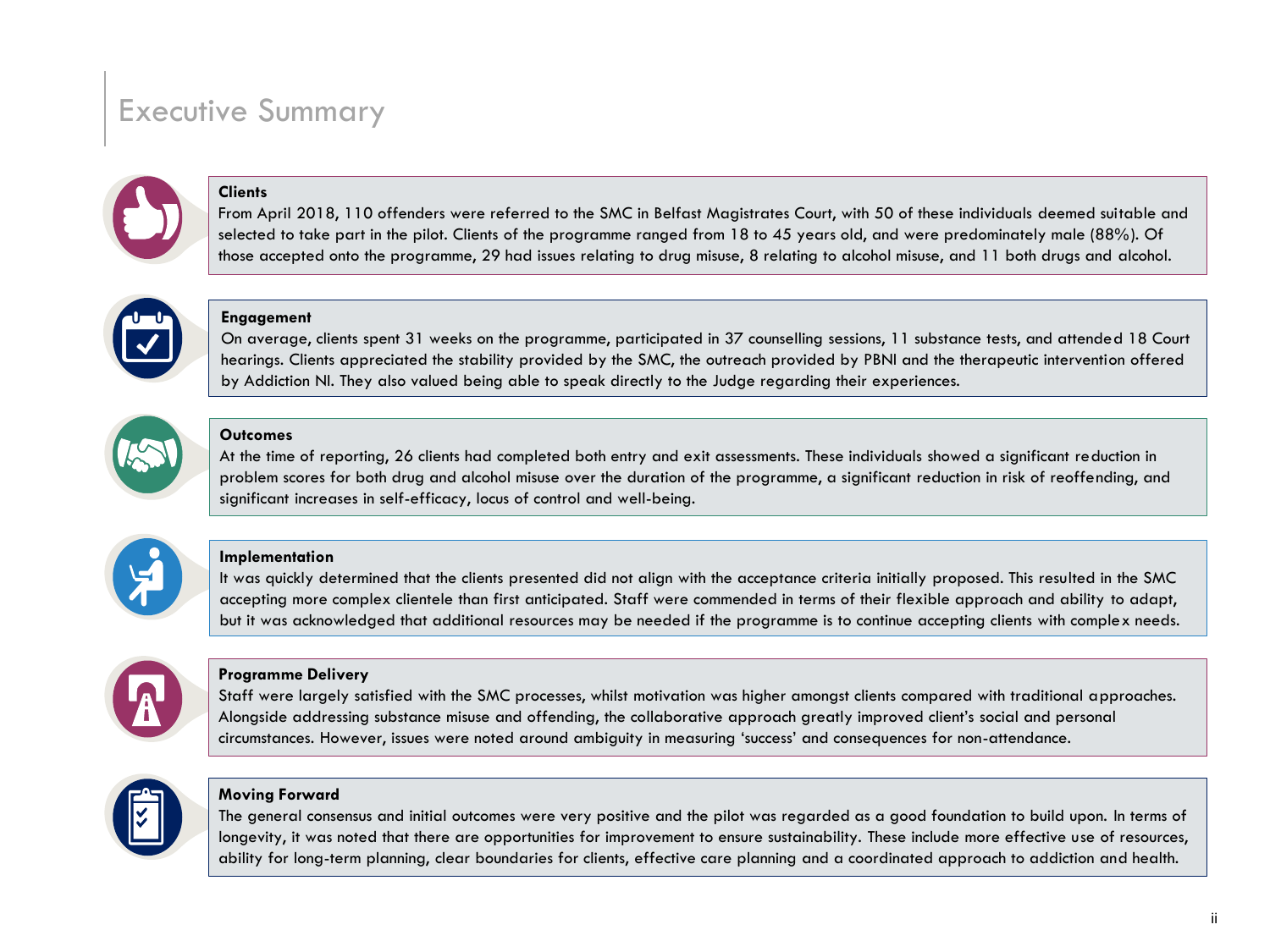### Executive Summary



### **Clients**

From April 2018, 110 offenders were referred to the SMC in Belfast Magistrates Court, with 50 of these individuals deemed suitable and selected to take part in the pilot. Clients of the programme ranged from 18 to 45 years old, and were predominately male (88%). Of those accepted onto the programme, 29 had issues relating to drug misuse, 8 relating to alcohol misuse, and 11 both drugs and alcohol.



#### **Engagement**

On average, clients spent 31 weeks on the programme, participated in 37 counselling sessions, 11 substance tests, and attended 18 Court hearings. Clients appreciated the stability provided by the SMC, the outreach provided by PBNI and the therapeutic intervention offered by Addiction NI. They also valued being able to speak directly to the Judge regarding their experiences.



#### **Outcomes**

At the time of reporting, 26 clients had completed both entry and exit assessments. These individuals showed a significant reduction in problem scores for both drug and alcohol misuse over the duration of the programme, a significant reduction in risk of reoffending, and significant increases in self-efficacy, locus of control and well-being.



#### **Implementation**

It was quickly determined that the clients presented did not align with the acceptance criteria initially proposed. This resulted in the SMC accepting more complex clientele than first anticipated. Staff were commended in terms of their flexible approach and ability to adapt, but it was acknowledged that additional resources may be needed if the programme is to continue accepting clients with complex needs.



#### **Programme Delivery**

Staff were largely satisfied with the SMC processes, whilst motivation was higher amongst clients compared with traditional approaches. Alongside addressing substance misuse and offending, the collaborative approach greatly improved client's social and personal circumstances. However, issues were noted around ambiguity in measuring 'success' and consequences for non-attendance.



#### **Moving Forward**

The general consensus and initial outcomes were very positive and the pilot was regarded as a good foundation to build upon. In terms of longevity, it was noted that there are opportunities for improvement to ensure sustainability. These include more effective use of resources, ability for long-term planning, clear boundaries for clients, effective care planning and a coordinated approach to addiction and health.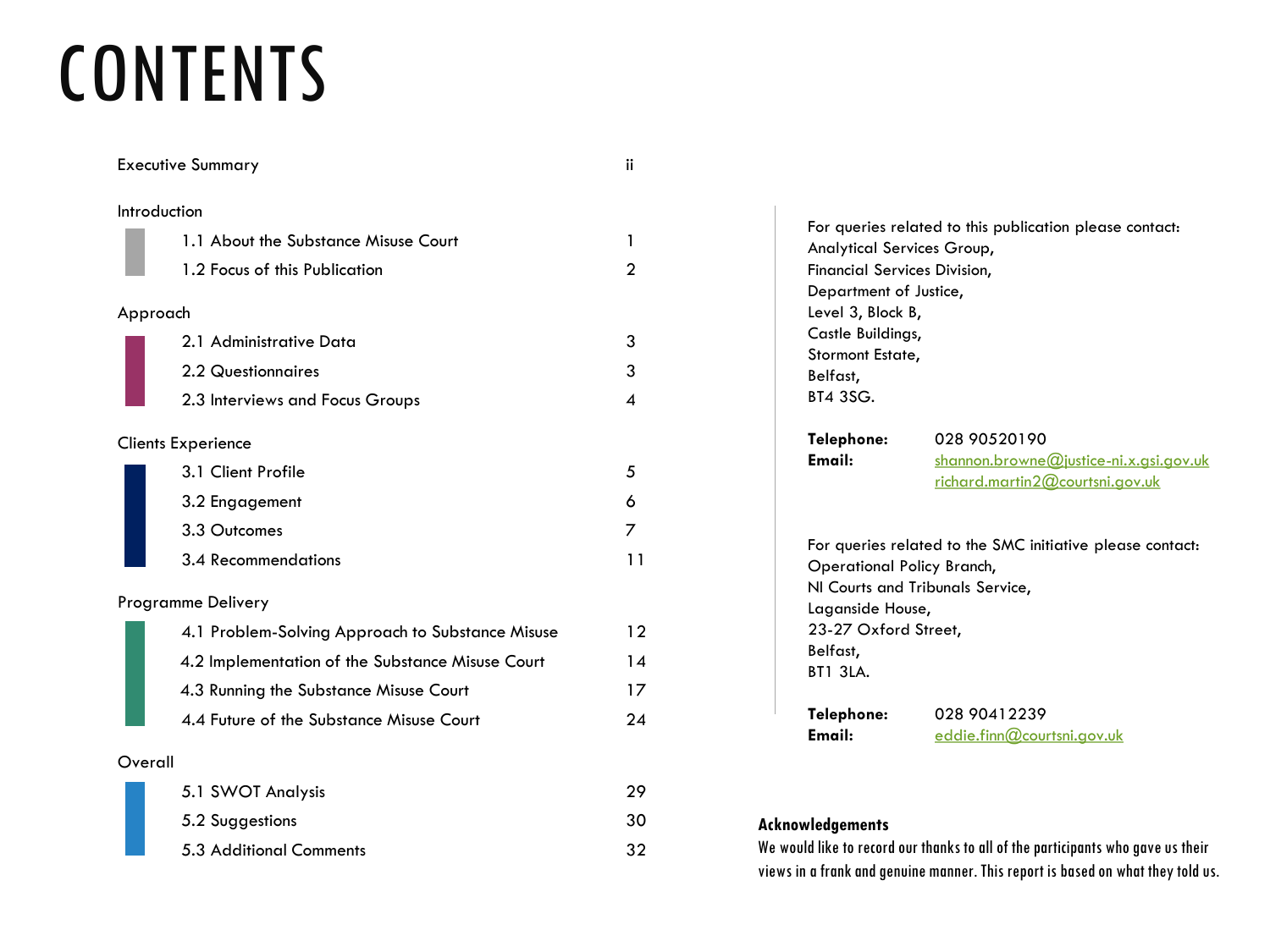# **CONTENTS**

|    | Introduction                                     |
|----|--------------------------------------------------|
| 1  | 1.1 About the Substance Misuse Court             |
| 2  | 1.2 Focus of this Publication                    |
|    | Approach                                         |
| 3  | 2.1 Administrative Data                          |
| 3  | 2.2 Questionnaires                               |
| 4  | 2.3 Interviews and Focus Groups                  |
|    | <b>Clients Experience</b>                        |
| 5  | 3.1 Client Profile                               |
| 6  | 3.2 Engagement                                   |
| 7  | 3.3 Outcomes                                     |
| 11 | 3.4 Recommendations                              |
|    | Programme Delivery                               |
| 12 | 4.1 Problem-Solving Approach to Substance Misuse |
| 14 | 4.2 Implementation of the Substance Misuse Court |
| 17 | 4.3 Running the Substance Misuse Court           |
| 24 | 4.4 Future of the Substance Misuse Court         |
|    | Overall                                          |
| 29 | 5.1 SWOT Analysis                                |
| 30 | 5.2 Suggestions                                  |
|    |                                                  |

5.3 Additional Comments 32

Executive Summary ii

For queries related to this publication please contact: Analytical Services Group, Financial Services Division, Department of Justice, Level 3, Block B, Castle Buildings, Stormont Estate, Belfast, BT4 3SG. **Telephone:** 028 90520190 **Email:** [shannon.browne@justice-ni.x.gsi.gov.uk](mailto:shannon.browne@courtsni.gov.uk) [richard.martin2@courtsni.gov.uk](mailto:shannon.browne@courtsni.gov.uk) For queries related to the SMC initiative please contact:

Operational Policy Branch, NI Courts and Tribunals Service, Laganside House, 23-27 Oxford Street, Belfast, BT1 3LA.

**Telephone:** 028 90412239 **Email:** [eddie.finn@courtsni.gov.uk](mailto:neill.woods@courtsni.gov.uk)

### **Acknowledgements**

We would like to record our thanks to all of the participants who gave us their views in a frank and genuine manner. This report is based on what they told us.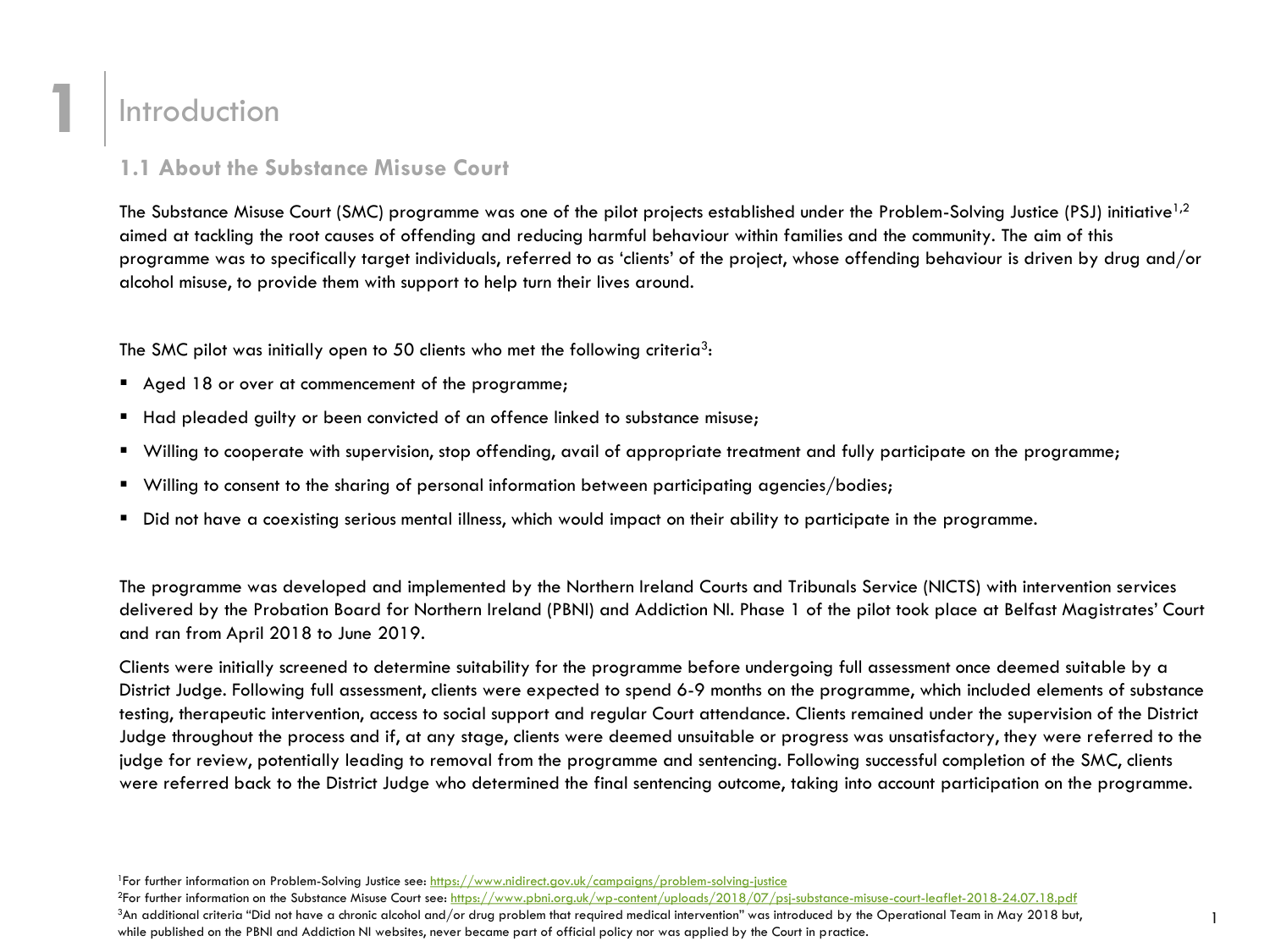### **Introduction**

**1**

### **1.1 About the Substance Misuse Court**

The Substance Misuse Court (SMC) programme was one of the pilot projects established under the Problem-Solving Justice (PSJ) initiative<sup>1,2</sup> aimed at tackling the root causes of offending and reducing harmful behaviour within families and the community. The aim of this programme was to specifically target individuals, referred to as 'clients' of the project, whose offending behaviour is driven by drug and/or alcohol misuse, to provide them with support to help turn their lives around.

The SMC pilot was initially open to 50 clients who met the following criteria<sup>3</sup>:

- Aged 18 or over at commencement of the programme;
- **Had pleaded guilty or been convicted of an offence linked to substance misuse;**
- Willing to cooperate with supervision, stop offending, avail of appropriate treatment and fully participate on the programme;
- Willing to consent to the sharing of personal information between participating agencies/bodies;
- Did not have a coexisting serious mental illness, which would impact on their ability to participate in the programme.

The programme was developed and implemented by the Northern Ireland Courts and Tribunals Service (NICTS) with intervention services delivered by the Probation Board for Northern Ireland (PBNI) and Addiction NI. Phase 1 of the pilot took place at Belfast Magistrates' Court and ran from April 2018 to June 2019.

Clients were initially screened to determine suitability for the programme before undergoing full assessment once deemed suitable by a District Judge. Following full assessment, clients were expected to spend 6-9 months on the programme, which included elements of substance testing, therapeutic intervention, access to social support and regular Court attendance. Clients remained under the supervision of the District Judge throughout the process and if, at any stage, clients were deemed unsuitable or progress was unsatisfactory, they were referred to the judge for review, potentially leading to removal from the programme and sentencing. Following successful completion of the SMC, clients were referred back to the District Judge who determined the final sentencing outcome, taking into account participation on the programme.

 $3$ An additional criteria "Did not have a chronic alcohol and/or drug problem that required medical intervention" was introduced by the Operational Team in May 2018 but, while published on the PBNI and Addiction NI websites, never became part of official policy nor was applied by the Court in practice.

<sup>&</sup>lt;sup>1</sup>For further information on Problem-Solving Justice see:<https://www.nidirect.gov.uk/campaigns/problem-solving-justice>

<sup>&</sup>lt;sup>2</sup>For further information on the Substance Misuse Court see: [https://www.pbni.org.uk/wp-content/uploads/2018/07/psj-substance-misuse-court-leaflet-2018-24.07.18.pdf](https://www.pbni.org.uk/wp-content/uploads/2018/07/PSJ-Substance-Misuse-Court-leaflet-2018-24.07.18.pdf)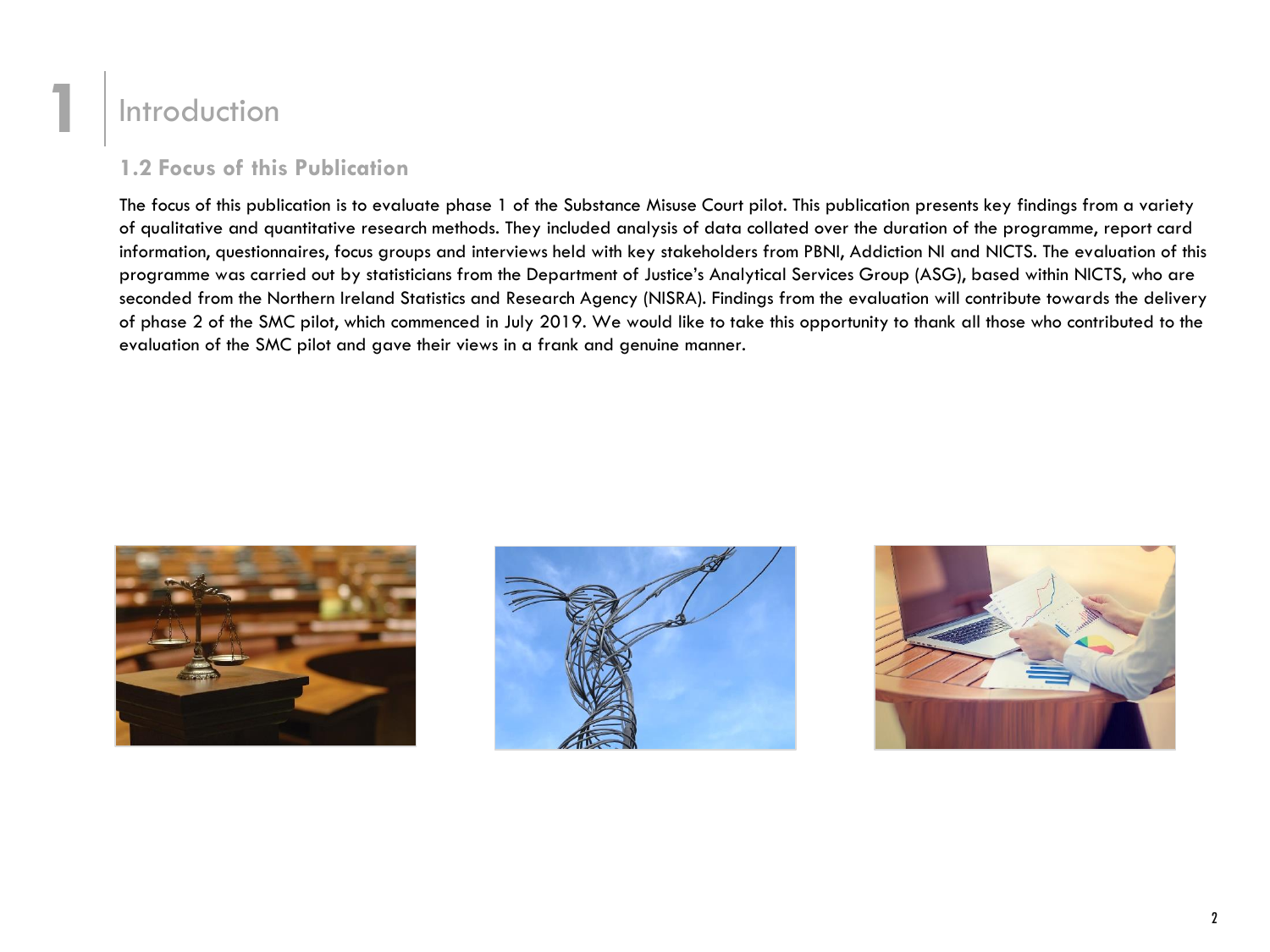### **1** Introduction

### **1.2 Focus of this Publication**

The focus of this publication is to evaluate phase 1 of the Substance Misuse Court pilot. This publication presents key findings from a variety of qualitative and quantitative research methods. They included analysis of data collated over the duration of the programme, report card information, questionnaires, focus groups and interviews held with key stakeholders from PBNI, Addiction NI and NICTS. The evaluation of this programme was carried out by statisticians from the Department of Justice's Analytical Services Group (ASG), based within NICTS, who are seconded from the Northern Ireland Statistics and Research Agency (NISRA). Findings from the evaluation will contribute towards the delivery of phase 2 of the SMC pilot, which commenced in July 2019. We would like to take this opportunity to thank all those who contributed to the evaluation of the SMC pilot and gave their views in a frank and genuine manner.





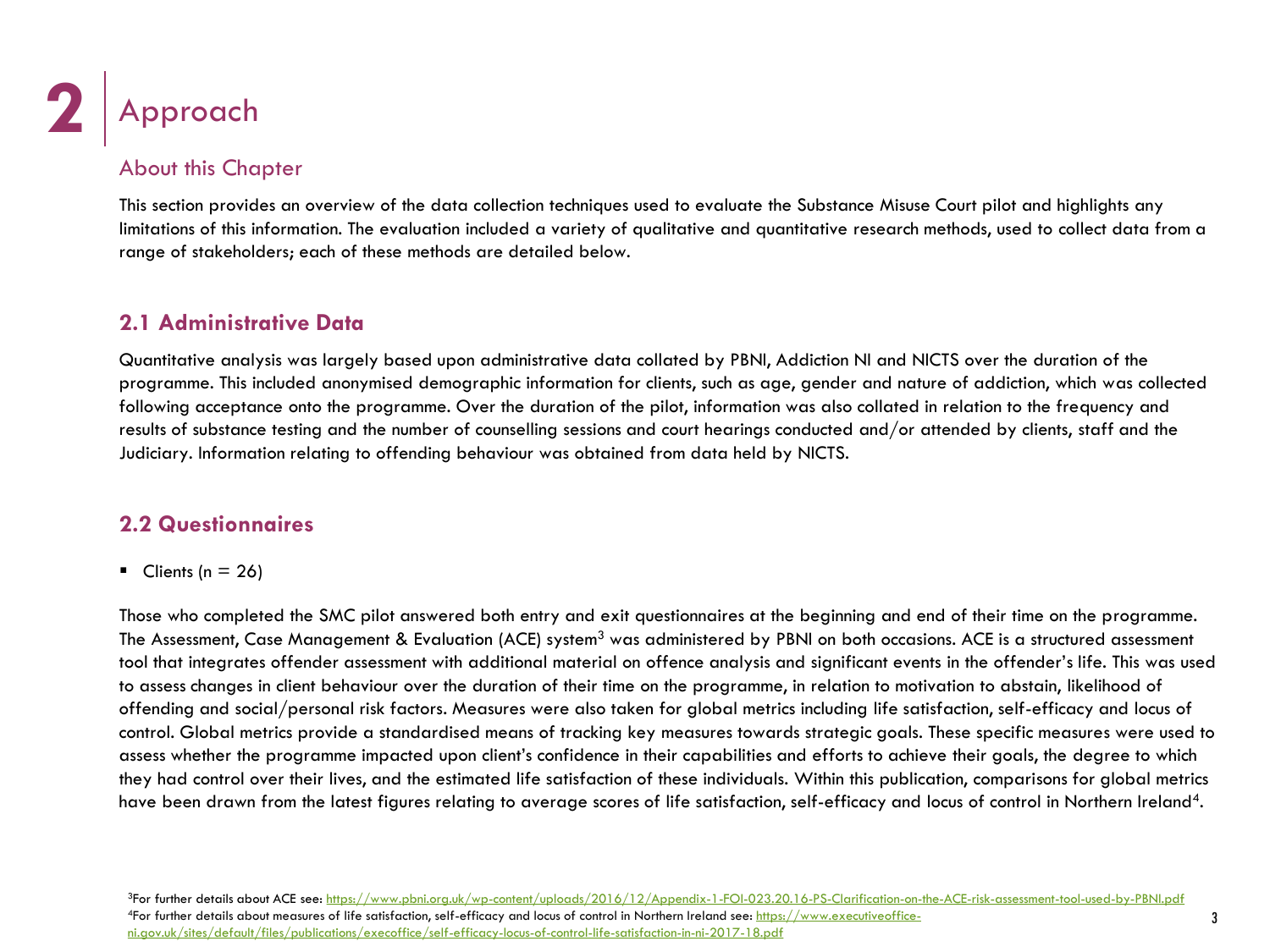![](_page_5_Picture_0.jpeg)

### About this Chapter

This section provides an overview of the data collection techniques used to evaluate the Substance Misuse Court pilot and highlights any limitations of this information. The evaluation included a variety of qualitative and quantitative research methods, used to collect data from a range of stakeholders; each of these methods are detailed below.

### **2.1 Administrative Data**

Quantitative analysis was largely based upon administrative data collated by PBNI, Addiction NI and NICTS over the duration of the programme. This included anonymised demographic information for clients, such as age, gender and nature of addiction, which was collected following acceptance onto the programme. Over the duration of the pilot, information was also collated in relation to the frequency and results of substance testing and the number of counselling sessions and court hearings conducted and/or attended by clients, staff and the Judiciary. Information relating to offending behaviour was obtained from data held by NICTS.

### **2.2 Questionnaires**

 $\blacksquare$  Clients (n = 26)

Those who completed the SMC pilot answered both entry and exit questionnaires at the beginning and end of their time on the programme. The Assessment, Case Management & Evaluation (ACE) system<sup>3</sup> was administered by PBNI on both occasions. ACE is a structured assessment tool that integrates offender assessment with additional material on offence analysis and significant events in the offender's life. This was used to assess changes in client behaviour over the duration of their time on the programme, in relation to motivation to abstain, likelihood of offending and social/personal risk factors. Measures were also taken for global metrics including life satisfaction, self-efficacy and locus of control. Global metrics provide a standardised means of tracking key measures towards strategic goals. These specific measures were used to assess whether the programme impacted upon client's confidence in their capabilities and efforts to achieve their goals, the degree to which they had control over their lives, and the estimated life satisfaction of these individuals. Within this publication, comparisons for global metrics have been drawn from the latest figures relating to average scores of life satisfaction, self-efficacy and locus of control in Northern Ireland<sup>4</sup>.

<sup>3</sup>For further details about ACE see:<https://www.pbni.org.uk/wp-content/uploads/2016/12/Appendix-1-FOI-023.20.16-PS-Clarification-on-the-ACE-risk-assessment-tool-used-by-PBNI.pdf> <sup>4</sup>[For further details about measures of life satisfaction, self-efficacy and locus of control in Northern Ireland see: https://www.executiveoffice](https://www.executiveoffice-ni.gov.uk/sites/default/files/publications/execoffice/self-efficacy-locus-of-control-life-satisfaction-in-ni-2017-18.pdf)ni.gov.uk/sites/default/files/publications/execoffice/self-efficacy-locus-of-control-life-satisfaction-in-ni-2017-18.pdf

3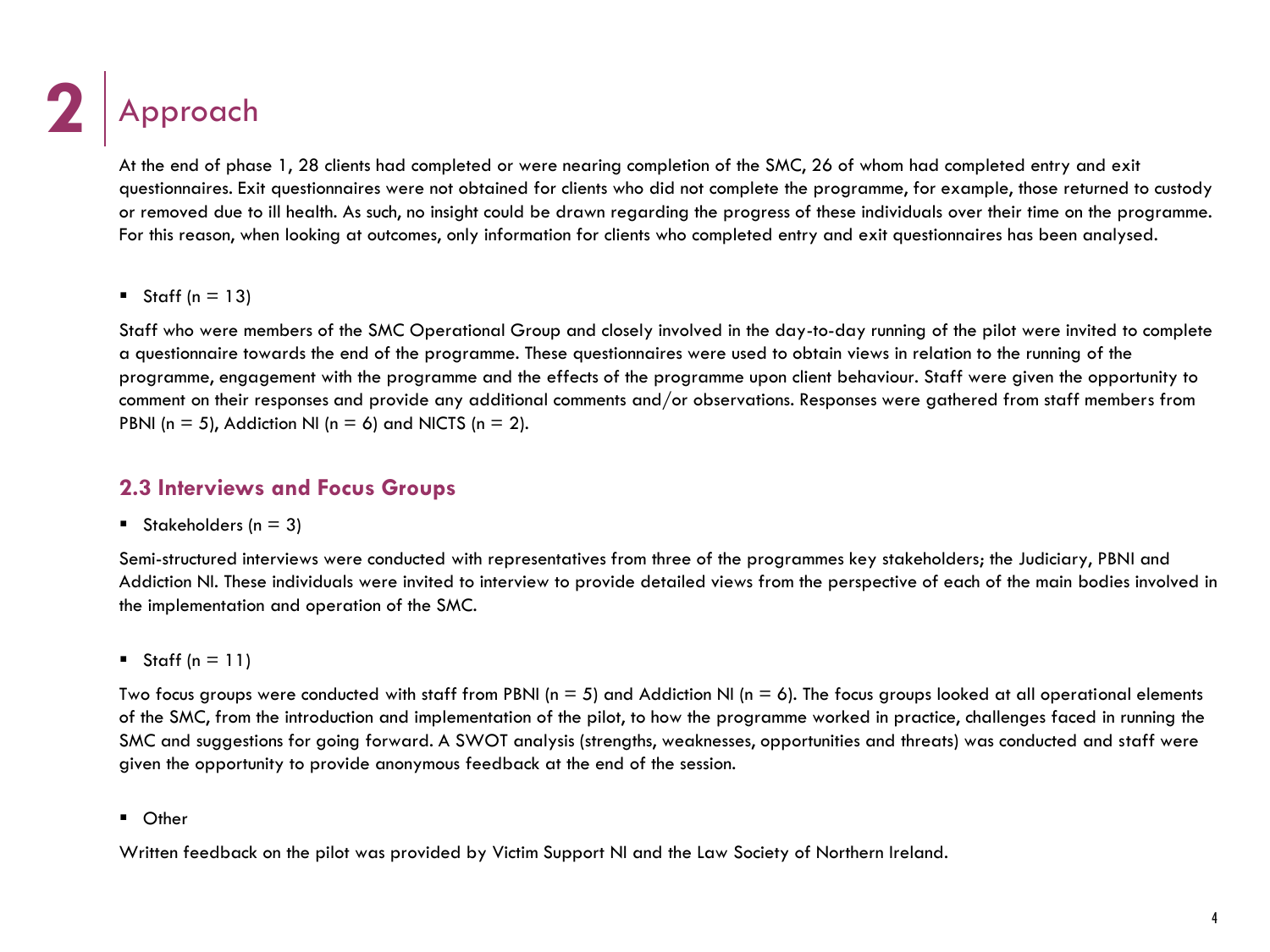# **2** Approach

At the end of phase 1, 28 clients had completed or were nearing completion of the SMC, 26 of whom had completed entry and exit questionnaires. Exit questionnaires were not obtained for clients who did not complete the programme, for example, those returned to custody or removed due to ill health. As such, no insight could be drawn regarding the progress of these individuals over their time on the programme. For this reason, when looking at outcomes, only information for clients who completed entry and exit questionnaires has been analysed.

Staff ( $n = 13$ )

Staff who were members of the SMC Operational Group and closely involved in the day-to-day running of the pilot were invited to complete a questionnaire towards the end of the programme. These questionnaires were used to obtain views in relation to the running of the programme, engagement with the programme and the effects of the programme upon client behaviour. Staff were given the opportunity to comment on their responses and provide any additional comments and/or observations. Responses were gathered from staff members from PBNI ( $n = 5$ ), Addiction NI ( $n = 6$ ) and NICTS ( $n = 2$ ).

### **2.3 Interviews and Focus Groups**

Stakeholders ( $n = 3$ )

Semi-structured interviews were conducted with representatives from three of the programmes key stakeholders; the Judiciary, PBNI and Addiction NI. These individuals were invited to interview to provide detailed views from the perspective of each of the main bodies involved in the implementation and operation of the SMC.

Staff  $(n = 11)$ 

Two focus groups were conducted with staff from PBNI ( $n = 5$ ) and Addiction NI ( $n = 6$ ). The focus groups looked at all operational elements of the SMC, from the introduction and implementation of the pilot, to how the programme worked in practice, challenges faced in running the SMC and suggestions for going forward. A SWOT analysis (strengths, weaknesses, opportunities and threats) was conducted and staff were given the opportunity to provide anonymous feedback at the end of the session.

■ Other

Written feedback on the pilot was provided by Victim Support NI and the Law Society of Northern Ireland.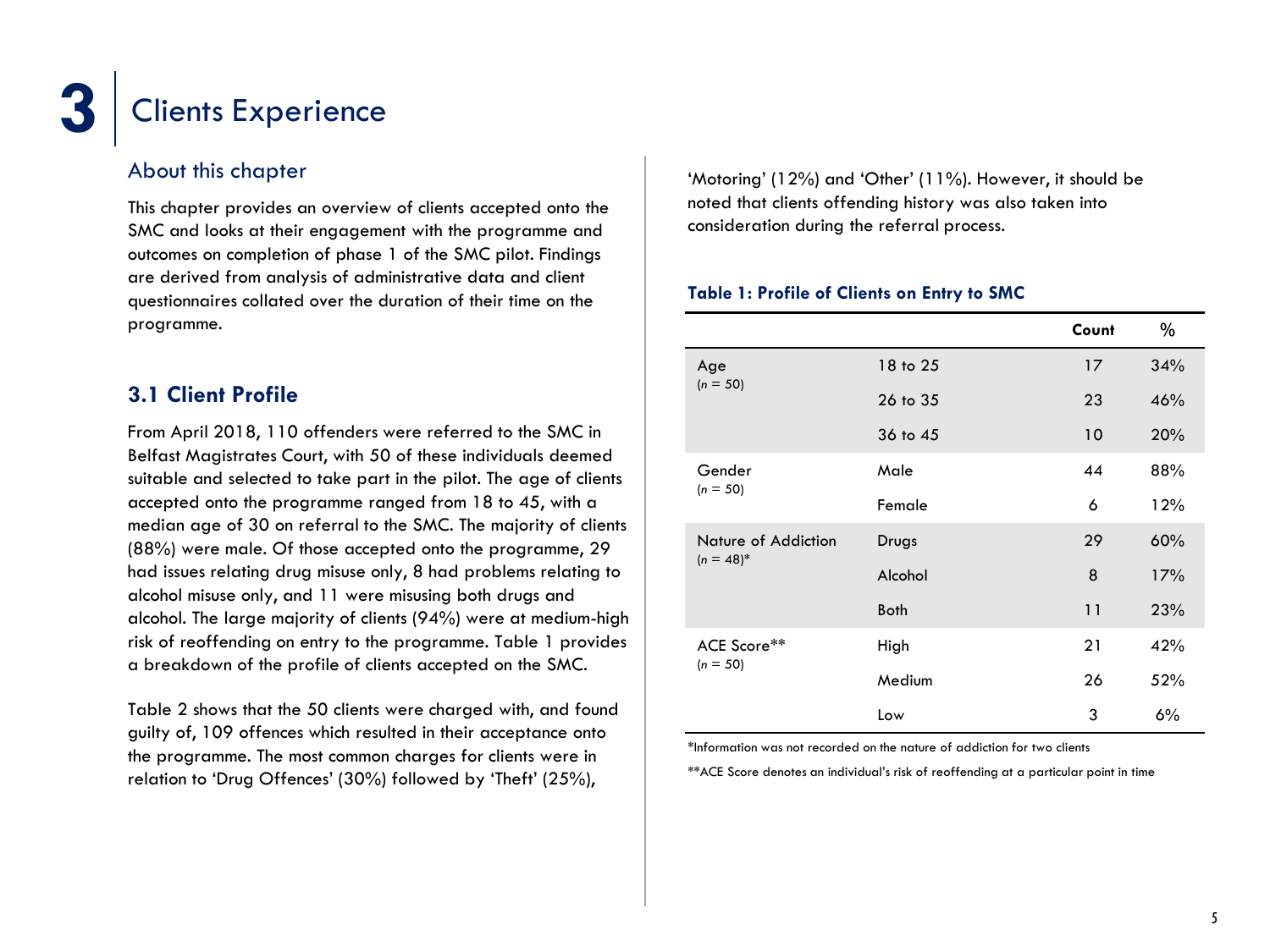### About this chapter

This chapter provides an overview of clients accepted onto the SMC and looks at their engagement with the programme and outcomes on completion of phase 1 of the SMC pilot. Findings are derived from analysis of administrative data and client questionnaires collated over the duration of their time on the programme.

### **3.1 Client Profile**

From April 2018, 110 offenders were referred to the SMC in Belfast Magistrates Court, with 50 of these individuals deemed suitable and selected to take part in the pilot. The age of clients accepted onto the programme ranged from 18 to 45, with a median age of 30 on referral to the SMC. The majority of clients (88%) were male. Of those accepted onto the programme, 29 had issues relating drug misuse only, 8 had problems relating to alcohol misuse only, and 11 were misusing both drugs and alcohol. The large majority of clients (94%) were at medium-high risk of reoffending on entry to the programme. Table 1 provides a breakdown of the profile of clients accepted on the SMC.

Table 2 shows that the 50 clients were charged with, and found guilty of, 109 offences which resulted in their acceptance onto the programme. The most common charges for clients were in relation to 'Drug Offences' (30%) followed by 'Theft' (25%),

'Motoring' (12%) and 'Other' (11%). However, it should be noted that clients offending history was also taken into consideration during the referral process.

#### **Table 1: Profile of Clients on Entry to SMC**

|                                     |             | Count | %   |
|-------------------------------------|-------------|-------|-----|
| Age<br>$(n = 50)$                   | 18 to 25    | 17    | 34% |
|                                     | 26 to 35    | 23    | 46% |
|                                     | 36 to 45    | 10    | 20% |
| Gender<br>$(n = 50)$                | Male        | 44    | 88% |
|                                     | Female      | 6     | 12% |
| Nature of Addiction<br>$(n = 48)^*$ | Drugs       | 29    | 60% |
|                                     | Alcohol     | 8     | 17% |
|                                     | <b>Both</b> | 11    | 23% |
| ACE Score**<br>$(n = 50)$           | High        | 21    | 42% |
|                                     | Medium      | 26    | 52% |
|                                     | Low         | 3     | 6%  |

\*Information was not recorded on the nature of addiction for two clients

\*\*ACE Score denotes an individual's risk of reoffending at a particular point in time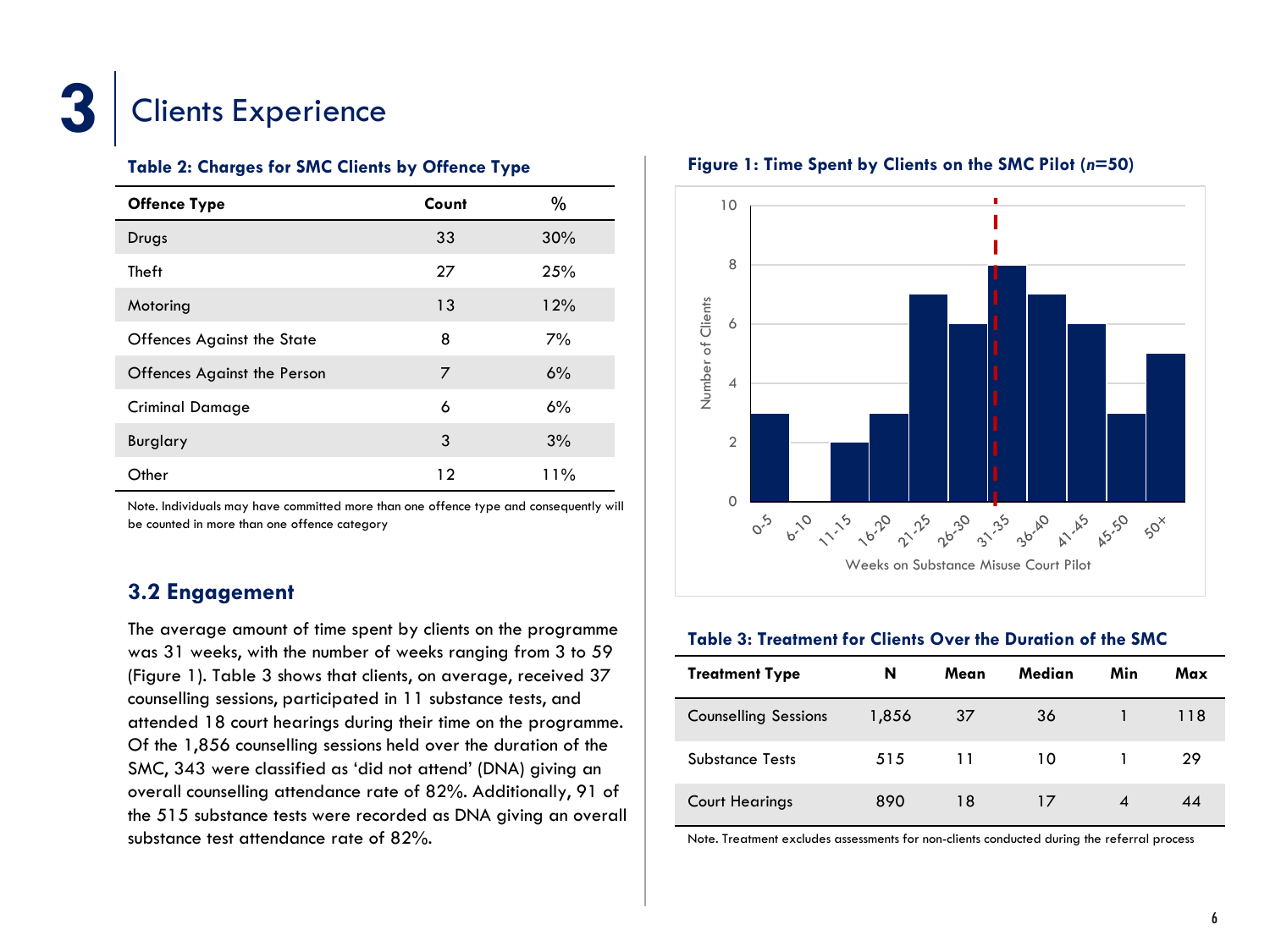![](_page_8_Picture_0.jpeg)

#### **Table 2: Charges for SMC Clients by Offence Type**

| <b>Offence Type</b>         | Count | %   |
|-----------------------------|-------|-----|
| Drugs                       | 33    | 30% |
| Theft                       | 27    | 25% |
| Motoring                    | 13    | 12% |
| Offences Against the State  | 8     | 7%  |
| Offences Against the Person | 7     | 6%  |
| Criminal Damage             | 6     | 6%  |
| Burglary                    | 3     | 3%  |
| Other                       | 12    | 11% |

Note. Individuals may have committed more than one offence type and consequently will be counted in more than one offence category

### **3.2 Engagement**

The average amount of time spent by clients on the programme was 31 weeks, with the number of weeks ranging from 3 to 59 (Figure 1). Table 3 shows that clients, on average, received 37 counselling sessions, participated in 11 substance tests, and attended 18 court hearings during their time on the programme. Of the 1,856 counselling sessions held over the duration of the SMC, 343 were classified as 'did not attend' (DNA) giving an overall counselling attendance rate of 82%. Additionally, 91 of the 515 substance tests were recorded as DNA giving an overall substance test attendance rate of 82%.

#### **Figure 1: Time Spent by Clients on the SMC Pilot (***n***=50)**

![](_page_8_Figure_8.jpeg)

#### **Table 3: Treatment for Clients Over the Duration of the SMC**

| <b>Treatment Type</b>       | N     | Mean | Median | Min | Max |
|-----------------------------|-------|------|--------|-----|-----|
| <b>Counselling Sessions</b> | 1,856 | 37   | 36     |     | 118 |
| <b>Substance Tests</b>      | 515   | 11   | 10     |     | 29  |
| <b>Court Hearings</b>       | 890   | 18   | 17     |     | 44  |

Note. Treatment excludes assessments for non-clients conducted during the referral process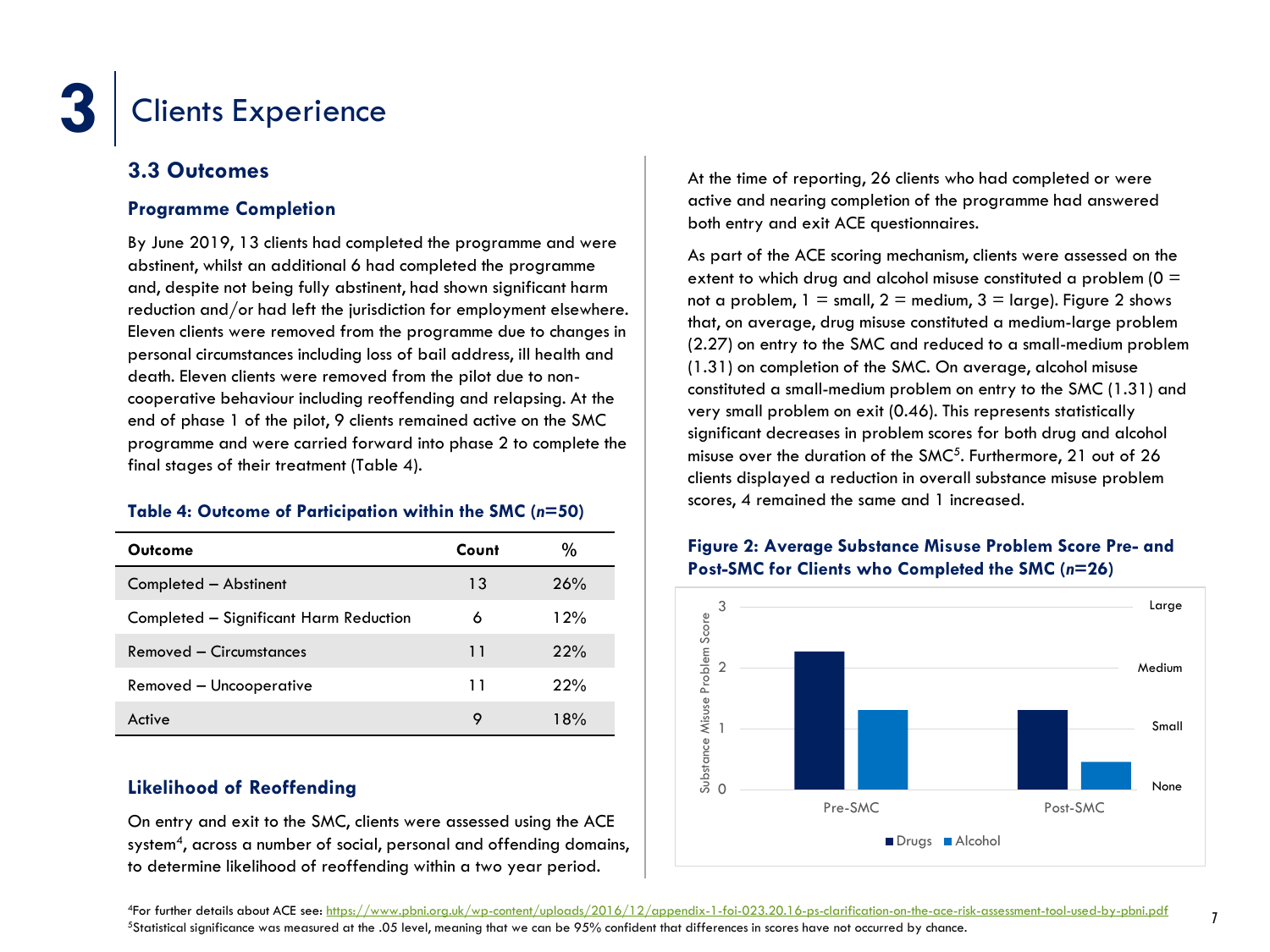### **3.3 Outcomes**

### **Programme Completion**

By June 2019, 13 clients had completed the programme and were abstinent, whilst an additional 6 had completed the programme and, despite not being fully abstinent, had shown significant harm reduction and/or had left the jurisdiction for employment elsewhere. Eleven clients were removed from the programme due to changes in personal circumstances including loss of bail address, ill health and death. Eleven clients were removed from the pilot due to noncooperative behaviour including reoffending and relapsing. At the end of phase 1 of the pilot, 9 clients remained active on the SMC programme and were carried forward into phase 2 to complete the final stages of their treatment (Table 4).

### **Table 4: Outcome of Participation within the SMC (***n***=50)**

| Outcome                                | Count | %   |
|----------------------------------------|-------|-----|
| Completed - Abstinent                  | 13    | 26% |
| Completed - Significant Harm Reduction | 6     | 12% |
| Removed - Circumstances                | 11    | 22% |
| Removed - Uncooperative                | 11    | 22% |
| Active                                 | 9     | 18% |

### **Likelihood of Reoffending**

On entry and exit to the SMC, clients were assessed using the ACE system<sup>4</sup>, across a number of social, personal and offending domains, to determine likelihood of reoffending within a two year period.

At the time of reporting, 26 clients who had completed or were active and nearing completion of the programme had answered both entry and exit ACE questionnaires*.*

As part of the ACE scoring mechanism, clients were assessed on the extent to which drug and alcohol misuse constituted a problem  $(0 =$ not a problem,  $1 = \text{small}$ ,  $2 = \text{medium}$ ,  $3 = \text{large}$ . Figure 2 shows that, on average, drug misuse constituted a medium-large problem (2.27) on entry to the SMC and reduced to a small-medium problem (1.31) on completion of the SMC. On average, alcohol misuse constituted a small-medium problem on entry to the SMC (1.31) and very small problem on exit (0.46). This represents statistically significant decreases in problem scores for both drug and alcohol misuse over the duration of the SMC<sup>5</sup>. Furthermore, 21 out of 26 clients displayed a reduction in overall substance misuse problem scores, 4 remained the same and 1 increased.

### **Figure 2: Average Substance Misuse Problem Score Pre- and Post-SMC for Clients who Completed the SMC (***n***=26)**

![](_page_9_Figure_12.jpeg)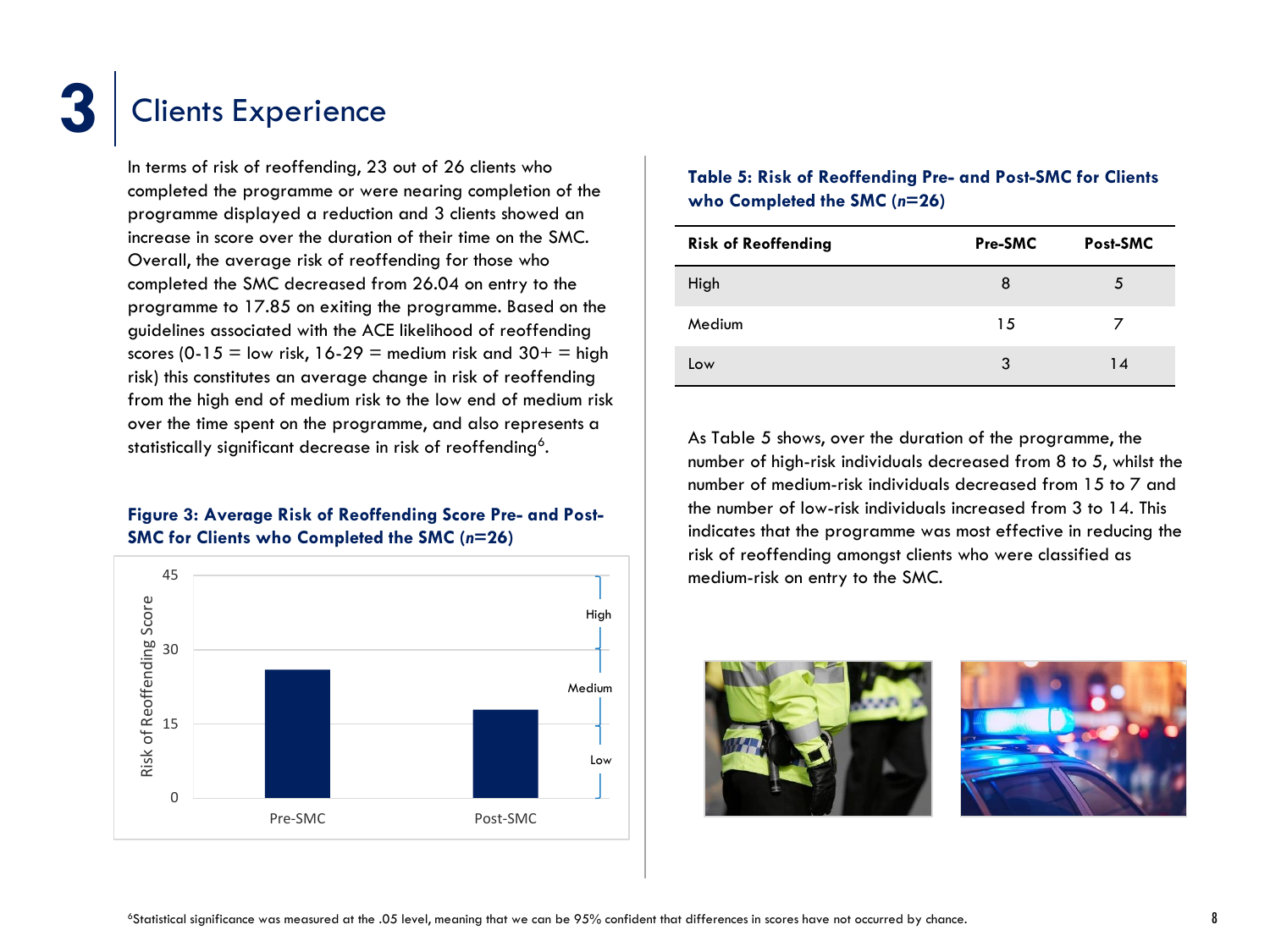In terms of risk of reoffending, 23 out of 26 clients who completed the programme or were nearing completion of the programme displayed a reduction and 3 clients showed an increase in score over the duration of their time on the SMC. Overall, the average risk of reoffending for those who completed the SMC decreased from 26.04 on entry to the programme to 17.85 on exiting the programme. Based on the guidelines associated with the ACE likelihood of reoffending scores (0-15 = low risk,  $16-29$  = medium risk and  $30+$  = high risk) this constitutes an average change in risk of reoffending from the high end of medium risk to the low end of medium risk over the time spent on the programme, and also represents a statistically significant decrease in risk of reoffending<sup>6</sup>.

### **Figure 3: Average Risk of Reoffending Score Pre- and Post-SMC for Clients who Completed the SMC (***n***=26)**

![](_page_10_Figure_4.jpeg)

### **Table 5: Risk of Reoffending Pre- and Post-SMC for Clients who Completed the SMC (***n***=26)**

| <b>Risk of Reoffending</b> | Pre-SMC | Post-SMC |
|----------------------------|---------|----------|
| High                       | 8       | 5        |
| Medium                     | 15      |          |
| Low                        | 3       | 14       |

As Table 5 shows, over the duration of the programme, the number of high-risk individuals decreased from 8 to 5, whilst the number of medium-risk individuals decreased from 15 to 7 and the number of low-risk individuals increased from 3 to 14. This indicates that the programme was most effective in reducing the risk of reoffending amongst clients who were classified as medium-risk on entry to the SMC.

![](_page_10_Picture_8.jpeg)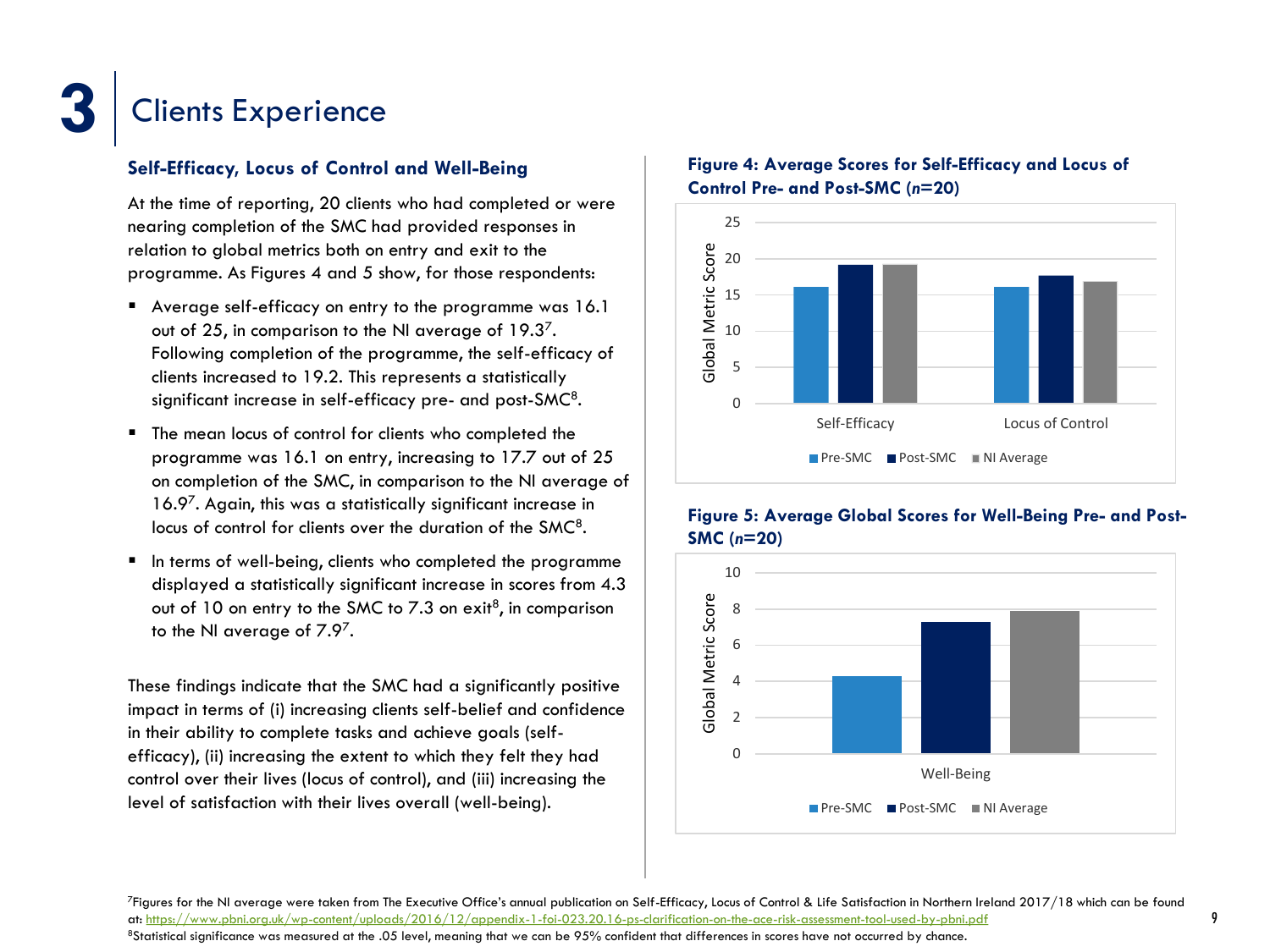### **Self-Efficacy, Locus of Control and Well-Being**

At the time of reporting, 20 clients who had completed or were nearing completion of the SMC had provided responses in relation to global metrics both on entry and exit to the programme. As Figures 4 and 5 show, for those respondents:

- Average self-efficacy on entry to the programme was 16.1 out of 25, in comparison to the NI average of  $19.3<sup>7</sup>$ . Following completion of the programme, the self-efficacy of clients increased to 19.2. This represents a statistically significant increase in self-efficacy pre- and post-SMC $\rm ^8$ .
- **The mean locus of control for clients who completed the** programme was 16.1 on entry, increasing to 17.7 out of 25 on completion of the SMC, in comparison to the NI average of 16.9<sup>7</sup> . Again, this was a statistically significant increase in locus of control for clients over the duration of the SMC<sup>8</sup>.
- In terms of well-being, clients who completed the programme displayed a statistically significant increase in scores from 4.3 out of  $10$  on entry to the SMC to 7.3 on exit<sup>8</sup>, in comparison to the NI average of  $7.9<sup>7</sup>$ .

These findings indicate that the SMC had a significantly positive impact in terms of (i) increasing clients self-belief and confidence in their ability to complete tasks and achieve goals (selfefficacy), (ii) increasing the extent to which they felt they had control over their lives (locus of control), and (iii) increasing the level of satisfaction with their lives overall (well-being).

![](_page_11_Figure_8.jpeg)

![](_page_11_Figure_9.jpeg)

### **Figure 5: Average Global Scores for Well-Being Pre- and Post-SMC (***n***=20)**

![](_page_11_Figure_11.jpeg)

<sup>7</sup>Figures for the NI average were taken from The Executive Office's annual publication on Self-Efficacy, Locus of Control & Life Satisfaction in Northern Ireland 2017/18 which can be found at: <https://www.pbni.org.uk/wp-content/uploads/2016/12/appendix-1-foi-023.20.16-ps-clarification-on-the-ace-risk-assessment-tool-used-by-pbni.pdf>

<sup>8</sup>Statistical significance was measured at the .05 level, meaning that we can be 95% confident that differences in scores have not occurred by chance.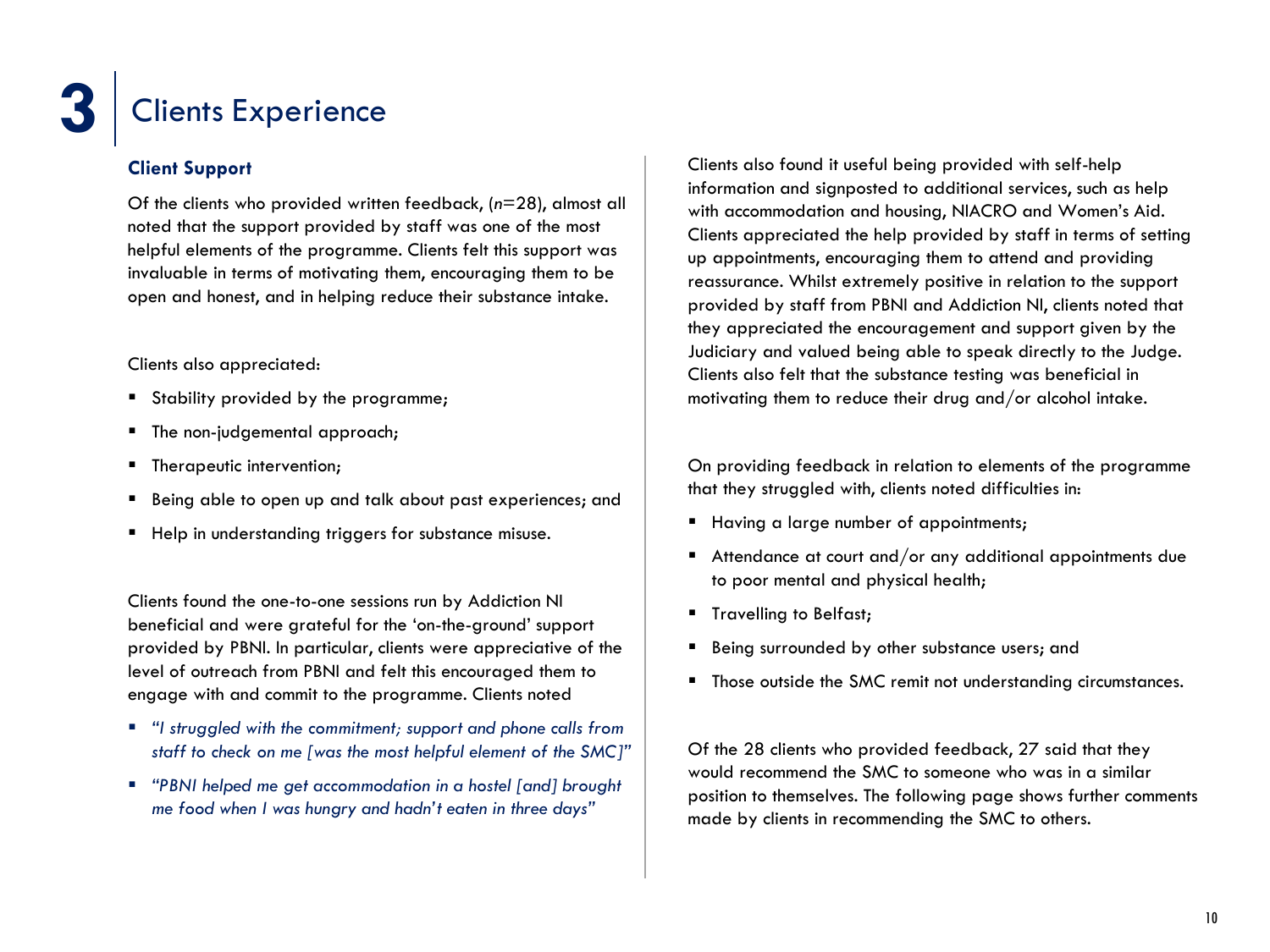### **Client Support**

Of the clients who provided written feedback, (*n*=28), almost all noted that the support provided by staff was one of the most helpful elements of the programme. Clients felt this support was invaluable in terms of motivating them, encouraging them to be open and honest, and in helping reduce their substance intake.

### Clients also appreciated:

- Stability provided by the programme;
- The non-judgemental approach;
- **F** Therapeutic intervention;
- Being able to open up and talk about past experiences; and
- Help in understanding triggers for substance misuse.

Clients found the one-to-one sessions run by Addiction NI beneficial and were grateful for the 'on-the-ground' support provided by PBNI. In particular, clients were appreciative of the level of outreach from PBNI and felt this encouraged them to engage with and commit to the programme. Clients noted

- *"I struggled with the commitment; support and phone calls from staff to check on me [was the most helpful element of the SMC]"*
- *"PBNI helped me get accommodation in a hostel [and] brought me food when I was hungry and hadn't eaten in three days"*

Clients also found it useful being provided with self-help information and signposted to additional services, such as help with accommodation and housing, NIACRO and Women's Aid. Clients appreciated the help provided by staff in terms of setting up appointments, encouraging them to attend and providing reassurance. Whilst extremely positive in relation to the support provided by staff from PBNI and Addiction NI, clients noted that they appreciated the encouragement and support given by the Judiciary and valued being able to speak directly to the Judge. Clients also felt that the substance testing was beneficial in motivating them to reduce their drug and/or alcohol intake.

On providing feedback in relation to elements of the programme that they struggled with, clients noted difficulties in:

- Having a large number of appointments;
- Attendance at court and/or any additional appointments due to poor mental and physical health;
- **Travelling to Belfast;**
- Being surrounded by other substance users; and
- **Those outside the SMC remit not understanding circumstances.**

Of the 28 clients who provided feedback, 27 said that they would recommend the SMC to someone who was in a similar position to themselves. The following page shows further comments made by clients in recommending the SMC to others.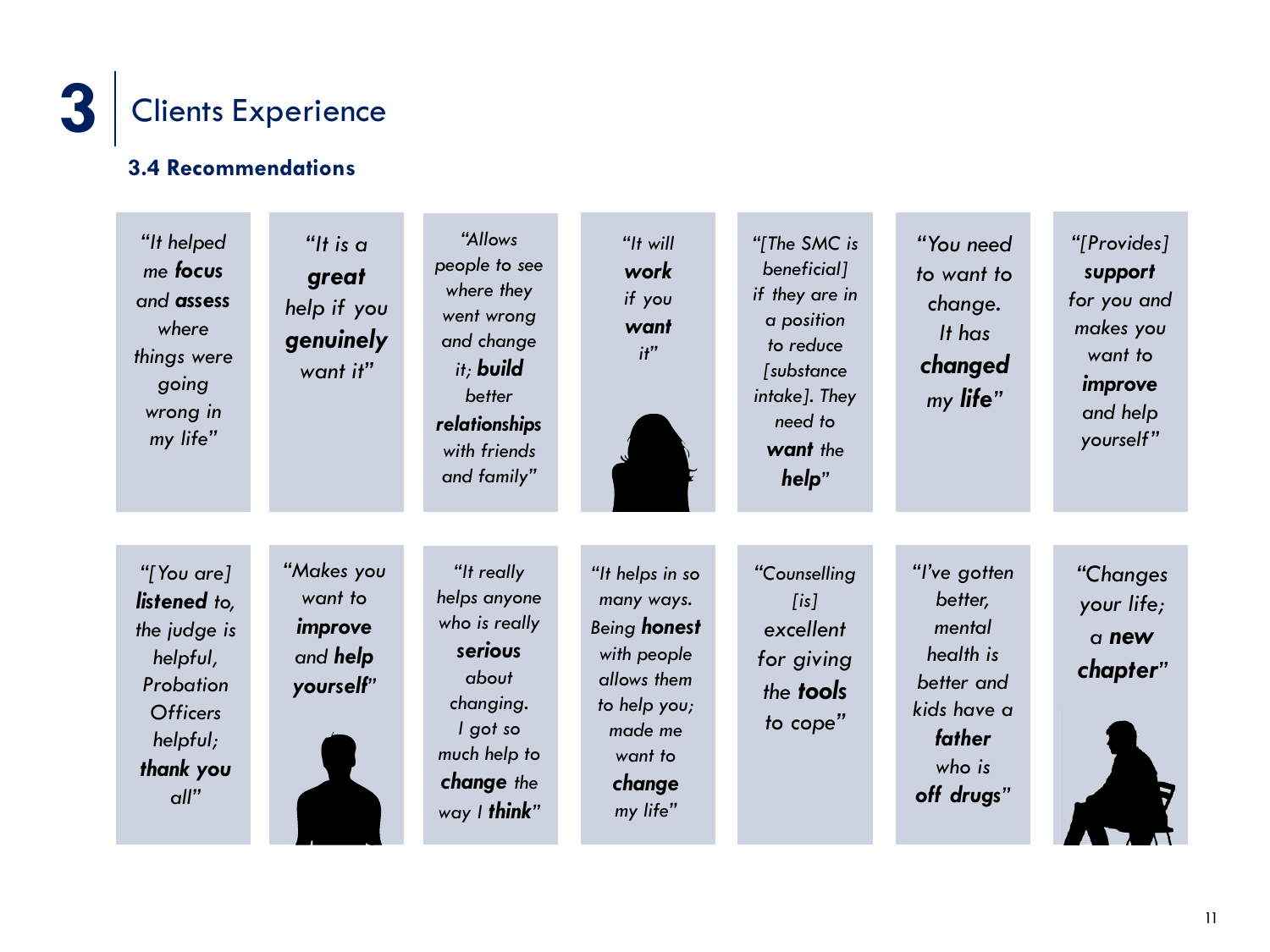![](_page_13_Picture_0.jpeg)

### **3.4 Recommendations**

![](_page_13_Figure_2.jpeg)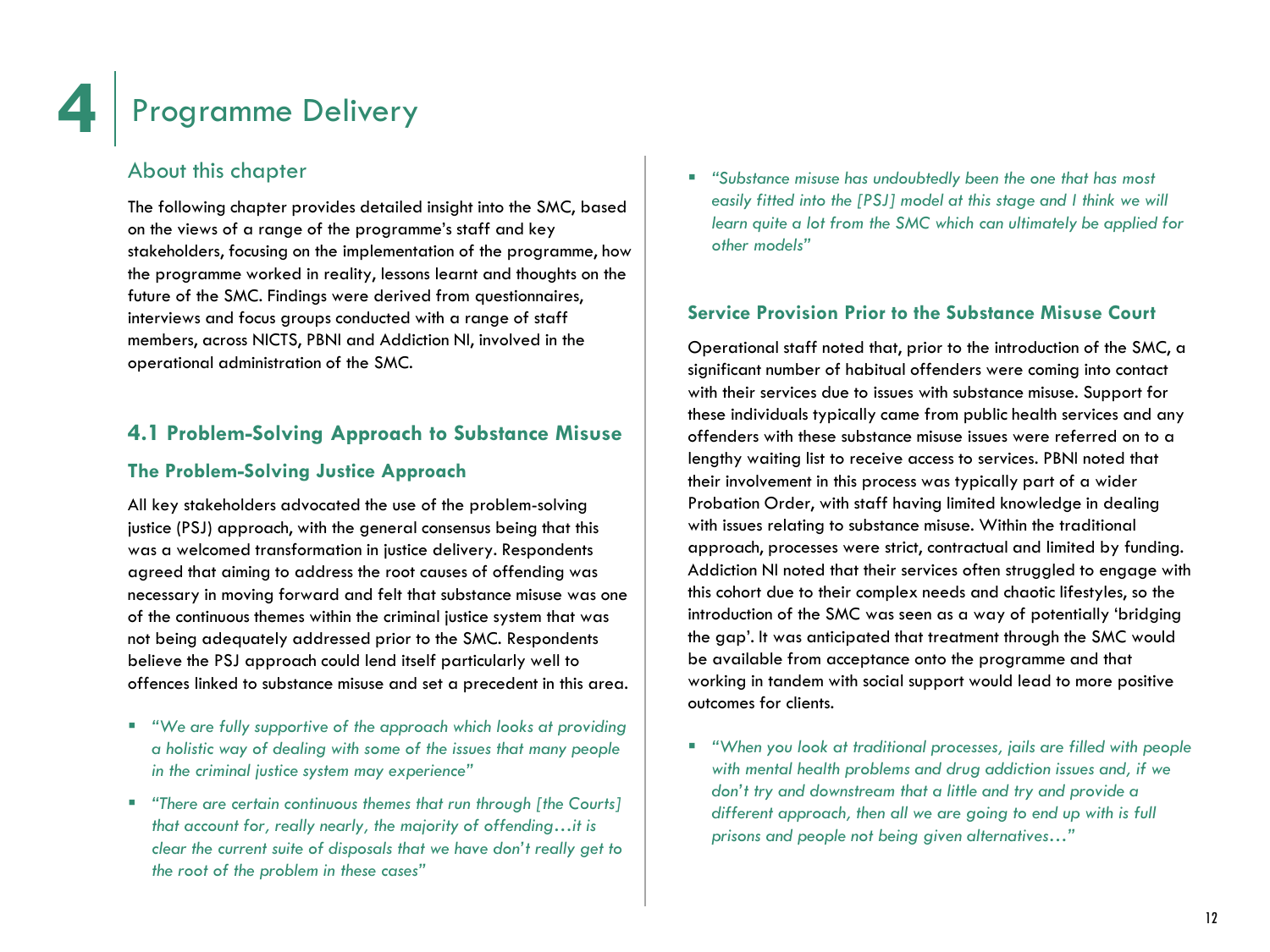### About this chapter

The following chapter provides detailed insight into the SMC, based on the views of a range of the programme's staff and key stakeholders, focusing on the implementation of the programme, how the programme worked in reality, lessons learnt and thoughts on the future of the SMC. Findings were derived from questionnaires, interviews and focus groups conducted with a range of staff members, across NICTS, PBNI and Addiction NI, involved in the operational administration of the SMC.

### **4.1 Problem-Solving Approach to Substance Misuse**

### **The Problem-Solving Justice Approach**

All key stakeholders advocated the use of the problem-solving justice (PSJ) approach, with the general consensus being that this was a welcomed transformation in justice delivery. Respondents agreed that aiming to address the root causes of offending was necessary in moving forward and felt that substance misuse was one of the continuous themes within the criminal justice system that was not being adequately addressed prior to the SMC. Respondents believe the PSJ approach could lend itself particularly well to offences linked to substance misuse and set a precedent in this area.

- *"We are fully supportive of the approach which looks at providing a holistic way of dealing with some of the issues that many people in the criminal justice system may experience"*
- *"There are certain continuous themes that run through [the Courts] that account for, really nearly, the majority of offending…it is clear the current suite of disposals that we have don't really get to the root of the problem in these cases"*

 *"Substance misuse has undoubtedly been the one that has most easily fitted into the [PSJ] model at this stage and I think we will learn quite a lot from the SMC which can ultimately be applied for other models"*

### **Service Provision Prior to the Substance Misuse Court**

Operational staff noted that, prior to the introduction of the SMC, a significant number of habitual offenders were coming into contact with their services due to issues with substance misuse. Support for these individuals typically came from public health services and any offenders with these substance misuse issues were referred on to a lengthy waiting list to receive access to services. PBNI noted that their involvement in this process was typically part of a wider Probation Order, with staff having limited knowledge in dealing with issues relating to substance misuse. Within the traditional approach, processes were strict, contractual and limited by funding. Addiction NI noted that their services often struggled to engage with this cohort due to their complex needs and chaotic lifestyles, so the introduction of the SMC was seen as a way of potentially 'bridging the gap'. It was anticipated that treatment through the SMC would be available from acceptance onto the programme and that working in tandem with social support would lead to more positive outcomes for clients.

 *"When you look at traditional processes, jails are filled with people with mental health problems and drug addiction issues and, if we don't try and downstream that a little and try and provide a different approach, then all we are going to end up with is full prisons and people not being given alternatives…"*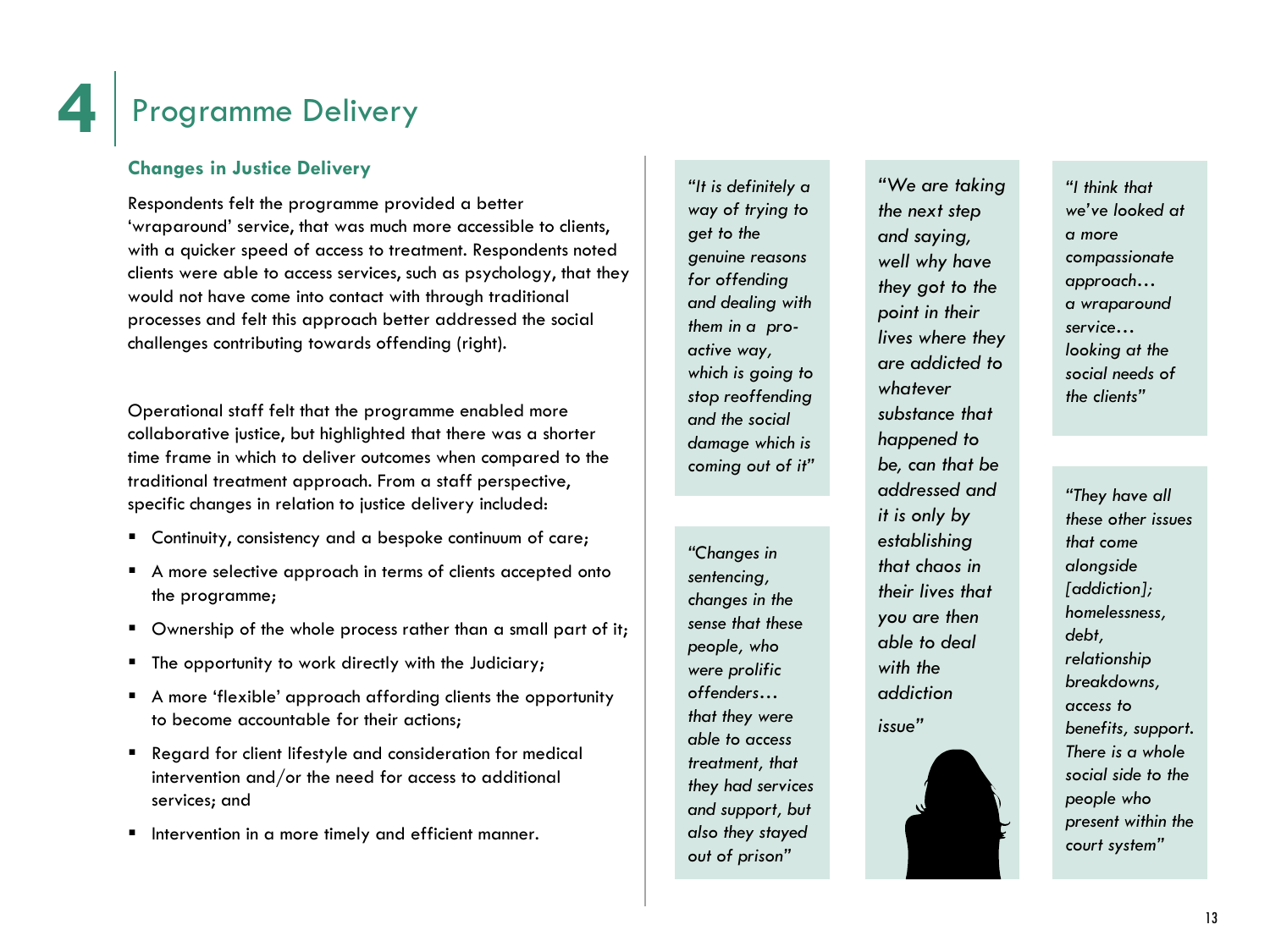### **Changes in Justice Delivery**

Respondents felt the programme provided a better 'wraparound' service, that was much more accessible to clients, with a quicker speed of access to treatment. Respondents noted clients were able to access services, such as psychology, that they would not have come into contact with through traditional processes and felt this approach better addressed the social challenges contributing towards offending (right).

Operational staff felt that the programme enabled more collaborative justice, but highlighted that there was a shorter time frame in which to deliver outcomes when compared to the traditional treatment approach. From a staff perspective, specific changes in relation to justice delivery included:

- Continuity, consistency and a bespoke continuum of care;
- A more selective approach in terms of clients accepted onto the programme;
- Ownership of the whole process rather than a small part of it;
- **The opportunity to work directly with the Judiciary;**
- A more 'flexible' approach affording clients the opportunity to become accountable for their actions;
- Regard for client lifestyle and consideration for medical intervention and/or the need for access to additional services; and
- **I** Intervention in a more timely and efficient manner.

*"It is definitely a way of trying to get to the genuine reasons for offending and dealing with them in a proactive way, which is going to stop reoffending and the social damage which is coming out of it"*

*"Changes in sentencing, changes in the sense that these people, who were prolific offenders… that they were able to access treatment, that they had services and support, but also they stayed out of prison"*

*"We are taking the next step and saying, well why have they got to the point in their lives where they are addicted to whatever substance that happened to be, can that be addressed and it is only by establishing that chaos in their lives that you are then able to deal with the addiction issue"*

*"I think that we've looked at a more compassionate approach… a wraparound service… looking at the social needs of the clients"*

*"They have all these other issues that come alongside [addiction]; homelessness, debt, relationship breakdowns, access to benefits, support. There is a whole social side to the people who present within the court system"*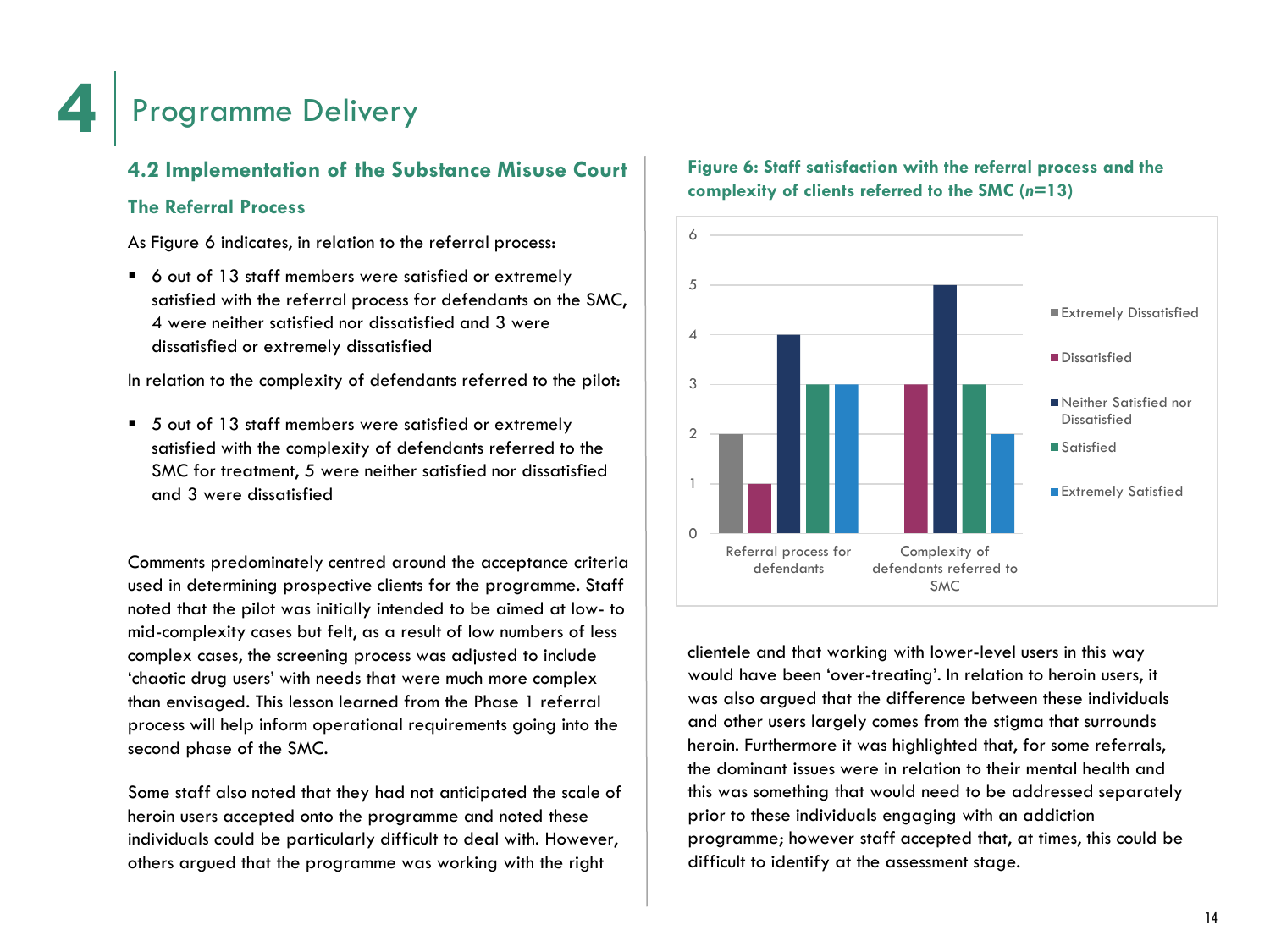### **4.2 Implementation of the Substance Misuse Court**

### **The Referral Process**

As Figure 6 indicates, in relation to the referral process:

■ 6 out of 13 staff members were satisfied or extremely satisfied with the referral process for defendants on the SMC, 4 were neither satisfied nor dissatisfied and 3 were dissatisfied or extremely dissatisfied

In relation to the complexity of defendants referred to the pilot:

■ 5 out of 13 staff members were satisfied or extremely satisfied with the complexity of defendants referred to the SMC for treatment, 5 were neither satisfied nor dissatisfied and 3 were dissatisfied

Comments predominately centred around the acceptance criteria used in determining prospective clients for the programme. Staff noted that the pilot was initially intended to be aimed at low- to mid-complexity cases but felt, as a result of low numbers of less complex cases, the screening process was adjusted to include 'chaotic drug users' with needs that were much more complex than envisaged. This lesson learned from the Phase 1 referral process will help inform operational requirements going into the second phase of the SMC.

Some staff also noted that they had not anticipated the scale of heroin users accepted onto the programme and noted these individuals could be particularly difficult to deal with. However, others argued that the programme was working with the right

![](_page_16_Figure_9.jpeg)

![](_page_16_Figure_10.jpeg)

clientele and that working with lower-level users in this way would have been 'over-treating'. In relation to heroin users, it was also argued that the difference between these individuals and other users largely comes from the stigma that surrounds heroin. Furthermore it was highlighted that, for some referrals, the dominant issues were in relation to their mental health and this was something that would need to be addressed separately prior to these individuals engaging with an addiction programme; however staff accepted that, at times, this could be difficult to identify at the assessment stage.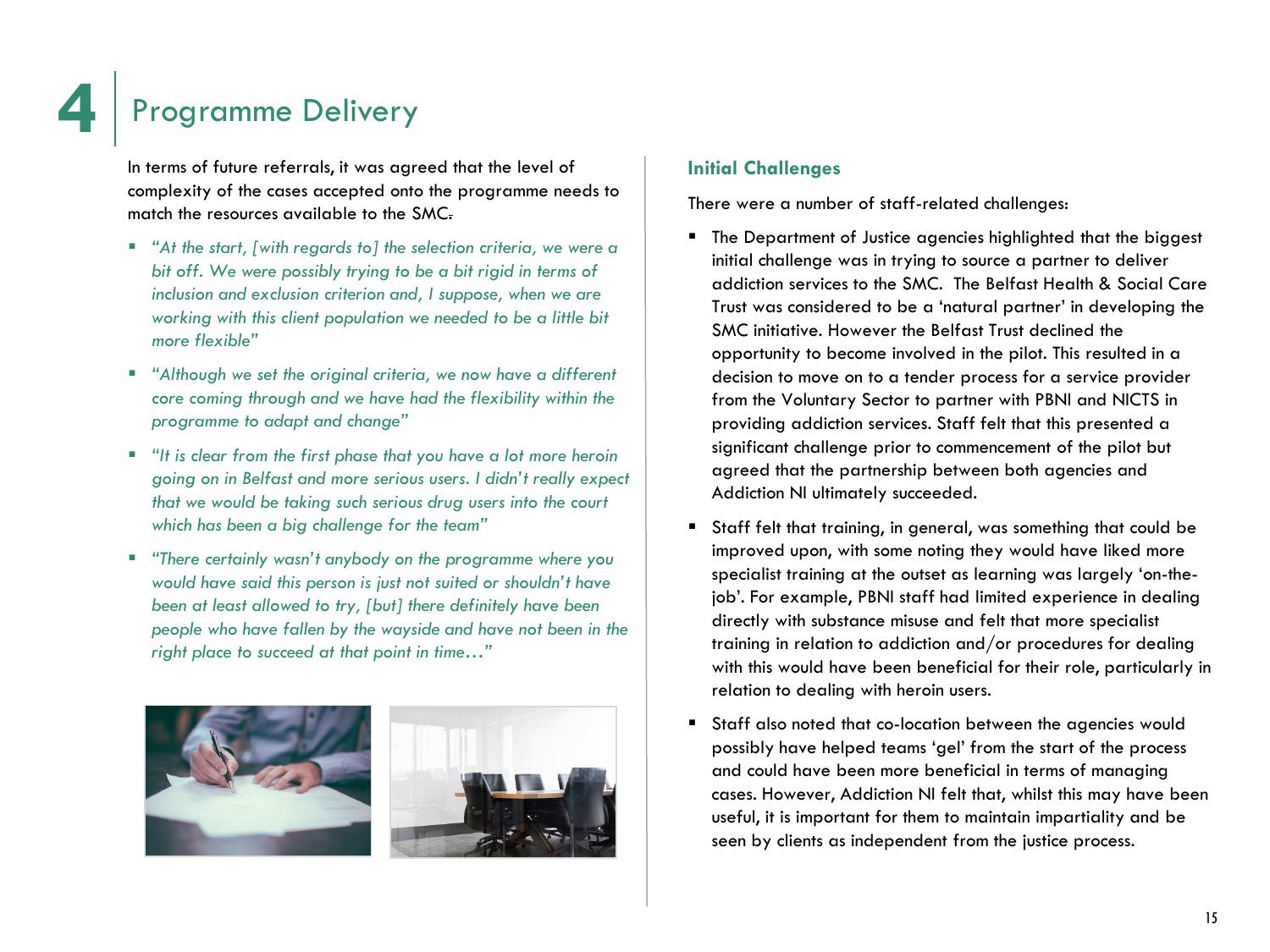In terms of future referrals, it was agreed that the level of complexity of the cases accepted onto the programme needs to match the resources available to the SMC.

- *"At the start, [with regards to] the selection criteria, we were a bit off. We were possibly trying to be a bit rigid in terms of inclusion and exclusion criterion and, I suppose, when we are working with this client population we needed to be a little bit more flexible"*
- *"Although we set the original criteria, we now have a different core coming through and we have had the flexibility within the programme to adapt and change"*
- *"It is clear from the first phase that you have a lot more heroin going on in Belfast and more serious users. I didn't really expect that we would be taking such serious drug users into the court which has been a big challenge for the team"*
- *"There certainly wasn't anybody on the programme where you would have said this person is just not suited or shouldn't have been at least allowed to try, [but] there definitely have been people who have fallen by the wayside and have not been in the right place to succeed at that point in time…"*

![](_page_17_Picture_6.jpeg)

### **Initial Challenges**

There were a number of staff-related challenges:

- **The Department of Justice agencies highlighted that the biggest** initial challenge was in trying to source a partner to deliver addiction services to the SMC. The Belfast Health & Social Care Trust was considered to be a 'natural partner' in developing the SMC initiative. However the Belfast Trust declined the opportunity to become involved in the pilot. This resulted in a decision to move on to a tender process for a service provider from the Voluntary Sector to partner with PBNI and NICTS in providing addiction services. Staff felt that this presented a significant challenge prior to commencement of the pilot but agreed that the partnership between both agencies and Addiction NI ultimately succeeded.
- Staff felt that training, in general, was something that could be improved upon, with some noting they would have liked more specialist training at the outset as learning was largely 'on-thejob'. For example, PBNI staff had limited experience in dealing directly with substance misuse and felt that more specialist training in relation to addiction and/or procedures for dealing with this would have been beneficial for their role, particularly in relation to dealing with heroin users.
- Staff also noted that co-location between the agencies would possibly have helped teams 'gel' from the start of the process and could have been more beneficial in terms of managing cases. However, Addiction NI felt that, whilst this may have been useful, it is important for them to maintain impartiality and be seen by clients as independent from the justice process.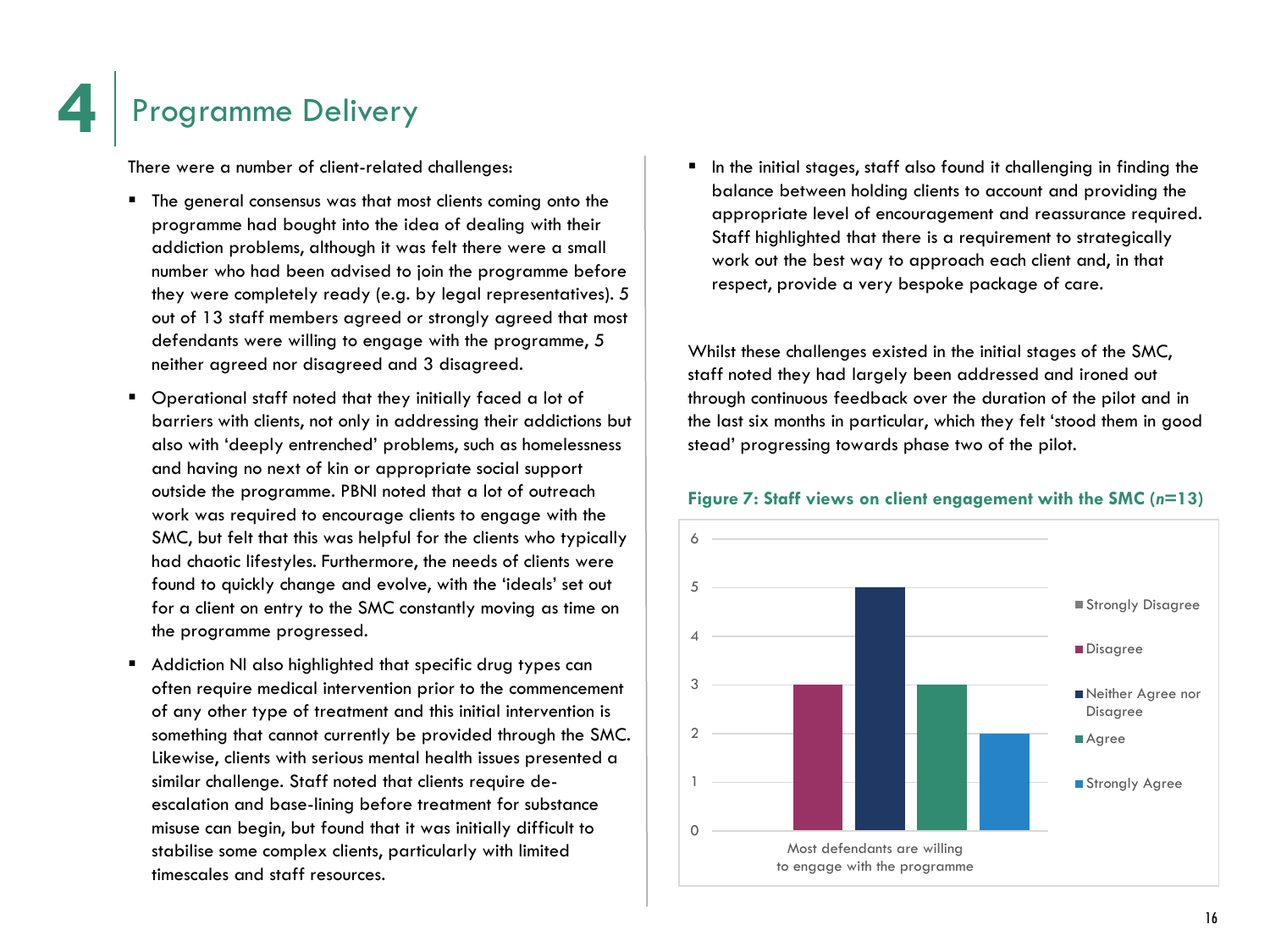There were a number of client-related challenges:

- **The general consensus was that most clients coming onto the** programme had bought into the idea of dealing with their addiction problems, although it was felt there were a small number who had been advised to join the programme before they were completely ready (e.g. by legal representatives). 5 out of 13 staff members agreed or strongly agreed that most defendants were willing to engage with the programme, 5 neither agreed nor disagreed and 3 disagreed.
- Operational staff noted that they initially faced a lot of barriers with clients, not only in addressing their addictions but also with 'deeply entrenched' problems, such as homelessness and having no next of kin or appropriate social support outside the programme. PBNI noted that a lot of outreach work was required to encourage clients to engage with the SMC, but felt that this was helpful for the clients who typically had chaotic lifestyles. Furthermore, the needs of clients were found to quickly change and evolve, with the 'ideals' set out for a client on entry to the SMC constantly moving as time on the programme progressed.
- Addiction NI also highlighted that specific drug types can often require medical intervention prior to the commencement of any other type of treatment and this initial intervention is something that cannot currently be provided through the SMC. Likewise, clients with serious mental health issues presented a similar challenge. Staff noted that clients require deescalation and base-lining before treatment for substance misuse can begin, but found that it was initially difficult to stabilise some complex clients, particularly with limited timescales and staff resources.

 In the initial stages, staff also found it challenging in finding the balance between holding clients to account and providing the appropriate level of encouragement and reassurance required. Staff highlighted that there is a requirement to strategically work out the best way to approach each client and, in that respect, provide a very bespoke package of care.

Whilst these challenges existed in the initial stages of the SMC, staff noted they had largely been addressed and ironed out through continuous feedback over the duration of the pilot and in the last six months in particular, which they felt 'stood them in good stead' progressing towards phase two of the pilot.

![](_page_18_Figure_7.jpeg)

### **Figure 7: Staff views on client engagement with the SMC (***n***=13)**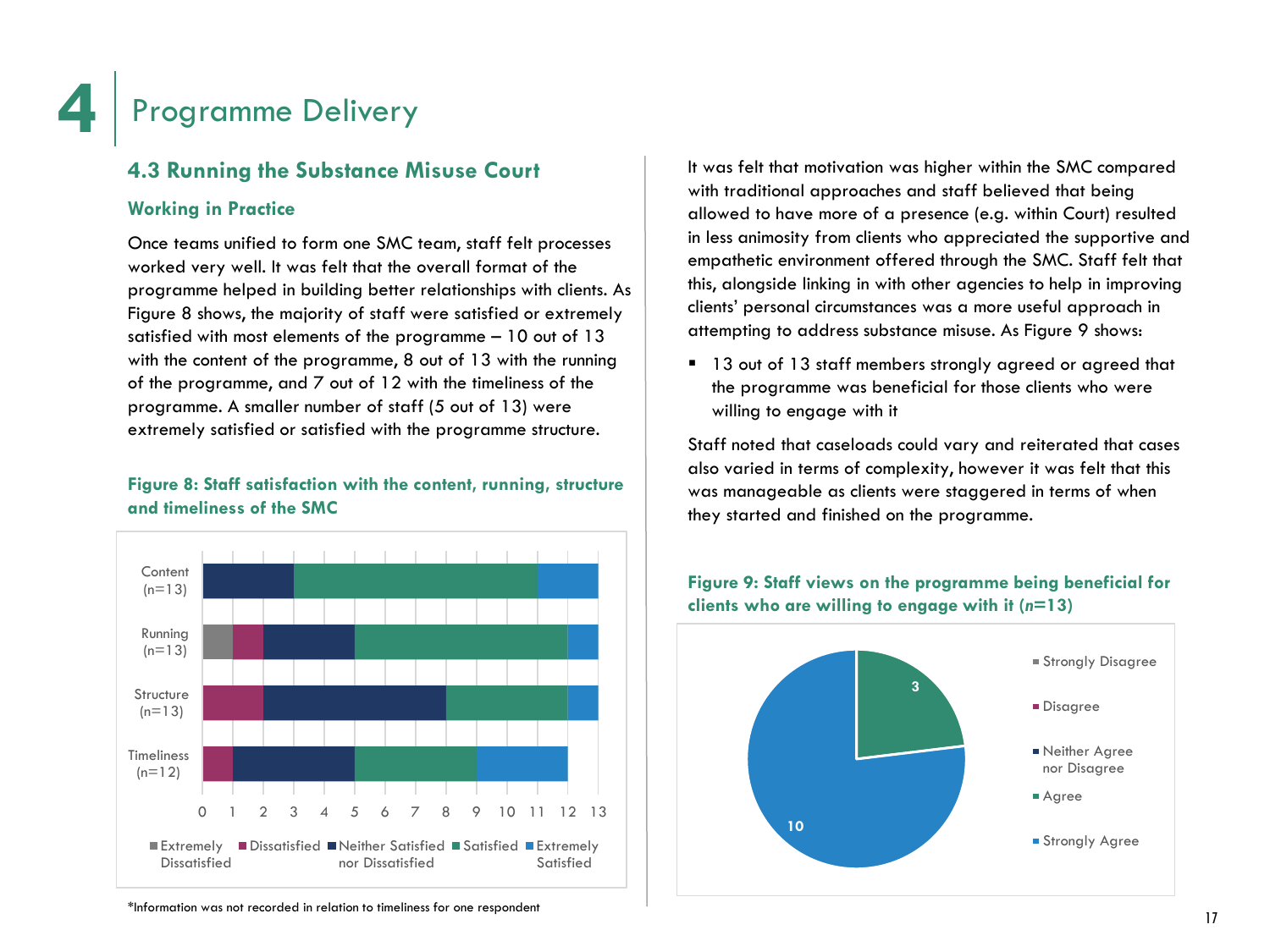### **4.3 Running the Substance Misuse Court**

### **Working in Practice**

Once teams unified to form one SMC team, staff felt processes worked very well. It was felt that the overall format of the programme helped in building better relationships with clients. As Figure 8 shows, the majority of staff were satisfied or extremely satisfied with most elements of the programme – 10 out of 13 with the content of the programme, 8 out of 13 with the running of the programme, and 7 out of 12 with the timeliness of the programme. A smaller number of staff (5 out of 13) were extremely satisfied or satisfied with the programme structure.

### **Figure 8: Staff satisfaction with the content, running, structure and timeliness of the SMC**

![](_page_19_Figure_5.jpeg)

It was felt that motivation was higher within the SMC compared with traditional approaches and staff believed that being allowed to have more of a presence (e.g. within Court) resulted in less animosity from clients who appreciated the supportive and empathetic environment offered through the SMC. Staff felt that this, alongside linking in with other agencies to help in improving clients' personal circumstances was a more useful approach in attempting to address substance misuse. As Figure 9 shows:

<sup>1</sup> 13 out of 13 staff members strongly agreed or agreed that the programme was beneficial for those clients who were willing to engage with it

Staff noted that caseloads could vary and reiterated that cases also varied in terms of complexity, however it was felt that this was manageable as clients were staggered in terms of when they started and finished on the programme.

![](_page_19_Figure_9.jpeg)

### **Figure 9: Staff views on the programme being beneficial for clients who are willing to engage with it (***n***=13)**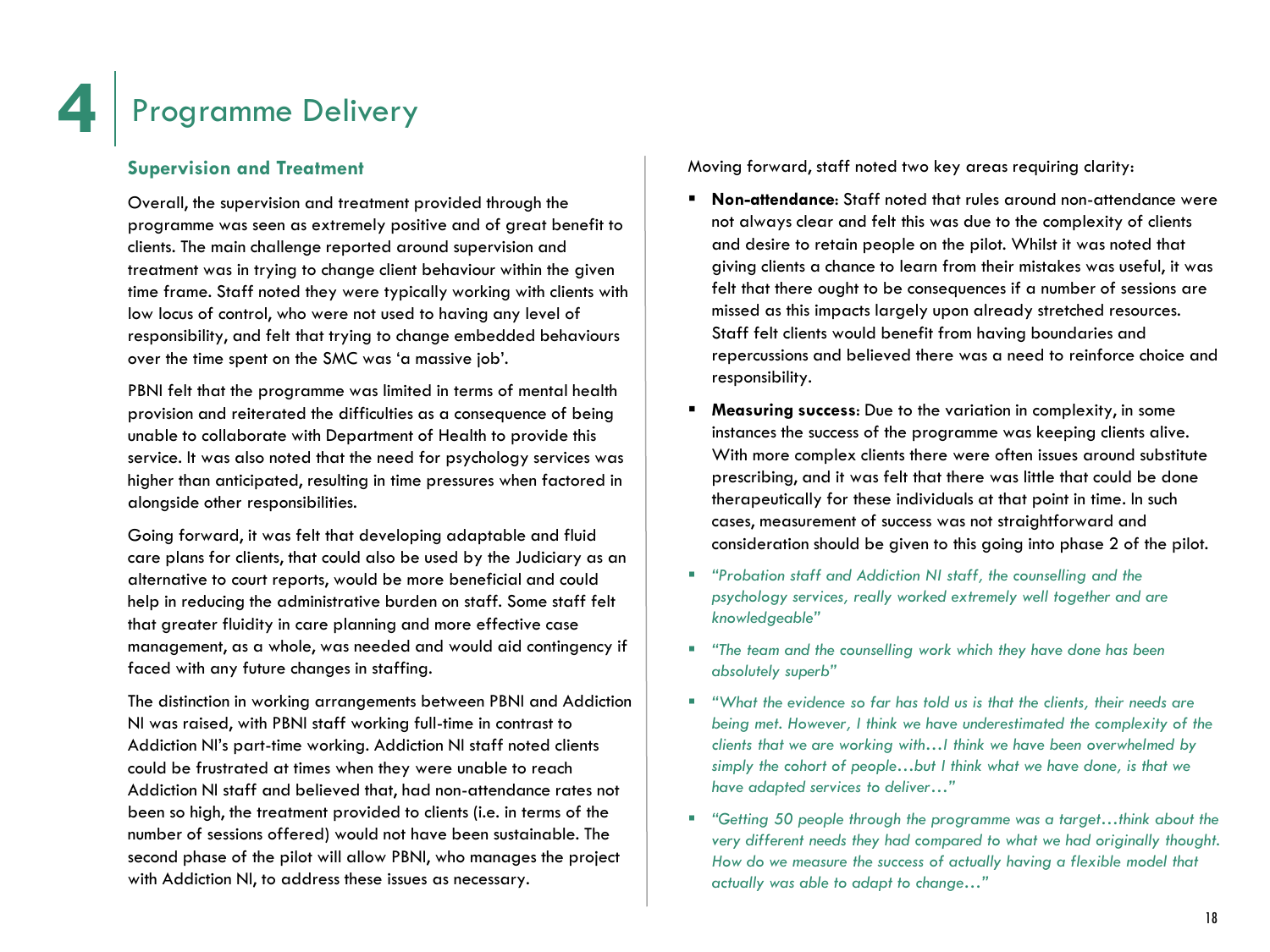### **Supervision and Treatment**

Overall, the supervision and treatment provided through the programme was seen as extremely positive and of great benefit to clients. The main challenge reported around supervision and treatment was in trying to change client behaviour within the given time frame. Staff noted they were typically working with clients with low locus of control, who were not used to having any level of responsibility, and felt that trying to change embedded behaviours over the time spent on the SMC was 'a massive job'.

PBNI felt that the programme was limited in terms of mental health provision and reiterated the difficulties as a consequence of being unable to collaborate with Department of Health to provide this service. It was also noted that the need for psychology services was higher than anticipated, resulting in time pressures when factored in alongside other responsibilities.

Going forward, it was felt that developing adaptable and fluid care plans for clients, that could also be used by the Judiciary as an alternative to court reports, would be more beneficial and could help in reducing the administrative burden on staff. Some staff felt that greater fluidity in care planning and more effective case management, as a whole, was needed and would aid contingency if faced with any future changes in staffing.

The distinction in working arrangements between PBNI and Addiction NI was raised, with PBNI staff working full-time in contrast to Addiction NI's part-time working. Addiction NI staff noted clients could be frustrated at times when they were unable to reach Addiction NI staff and believed that, had non-attendance rates not been so high, the treatment provided to clients (i.e. in terms of the number of sessions offered) would not have been sustainable. The second phase of the pilot will allow PBNI, who manages the project with Addiction NI, to address these issues as necessary.

Moving forward, staff noted two key areas requiring clarity:

- **Non-attendance**: Staff noted that rules around non-attendance were not always clear and felt this was due to the complexity of clients and desire to retain people on the pilot. Whilst it was noted that giving clients a chance to learn from their mistakes was useful, it was felt that there ought to be consequences if a number of sessions are missed as this impacts largely upon already stretched resources. Staff felt clients would benefit from having boundaries and repercussions and believed there was a need to reinforce choice and responsibility.
- **Measuring success**: Due to the variation in complexity, in some instances the success of the programme was keeping clients alive. With more complex clients there were often issues around substitute prescribing, and it was felt that there was little that could be done therapeutically for these individuals at that point in time. In such cases, measurement of success was not straightforward and consideration should be given to this going into phase 2 of the pilot.
- *"Probation staff and Addiction NI staff, the counselling and the psychology services, really worked extremely well together and are knowledgeable"*
- *"The team and the counselling work which they have done has been absolutely superb"*
- *"What the evidence so far has told us is that the clients, their needs are being met. However, I think we have underestimated the complexity of the clients that we are working with…I think we have been overwhelmed by simply the cohort of people…but I think what we have done, is that we have adapted services to deliver…"*
- *"Getting 50 people through the programme was a target…think about the very different needs they had compared to what we had originally thought. How do we measure the success of actually having a flexible model that actually was able to adapt to change…"*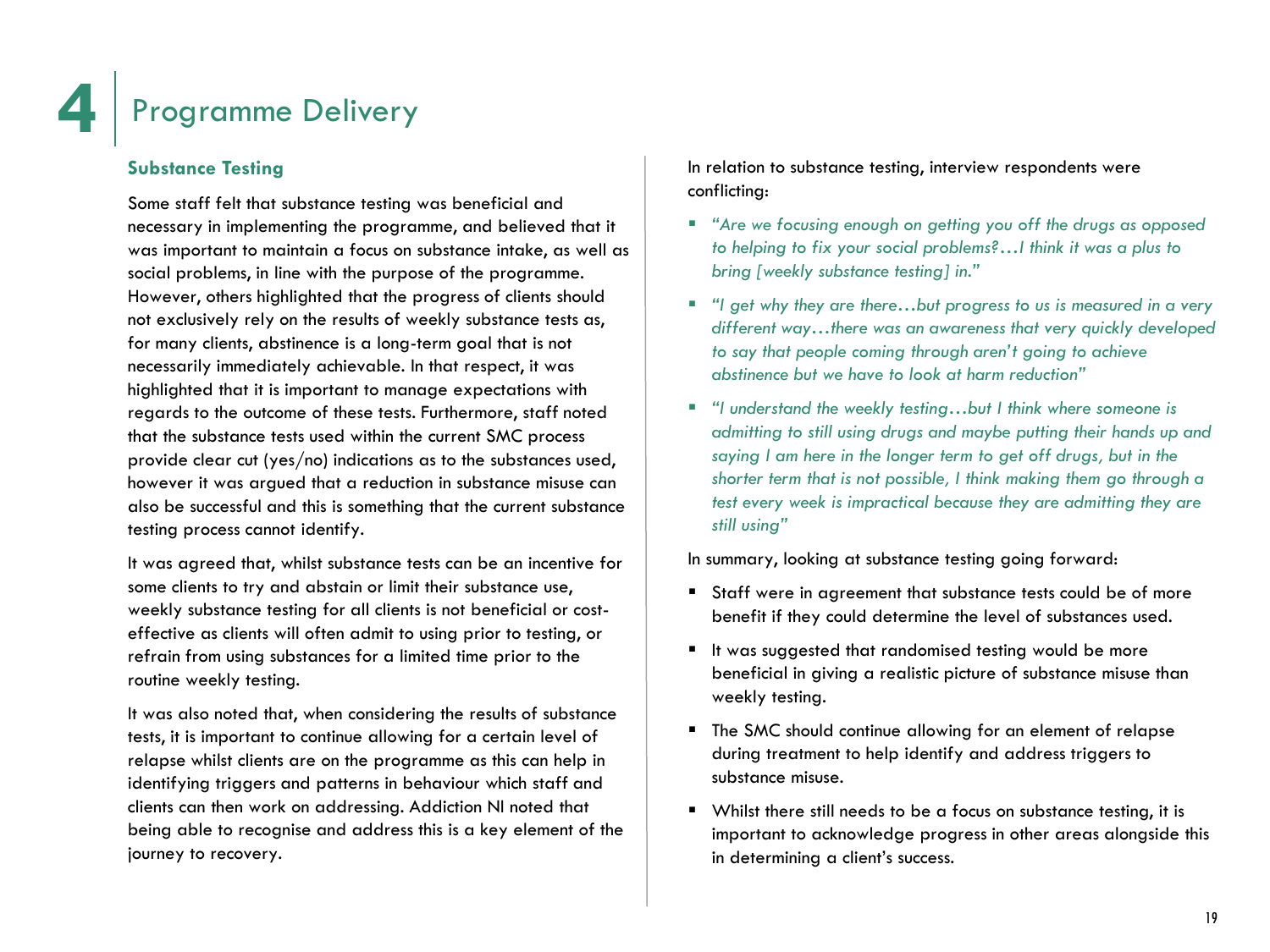### **Substance Testing**

Some staff felt that substance testing was beneficial and necessary in implementing the programme, and believed that it was important to maintain a focus on substance intake, as well as social problems, in line with the purpose of the programme. However, others highlighted that the progress of clients should not exclusively rely on the results of weekly substance tests as, for many clients, abstinence is a long-term goal that is not necessarily immediately achievable. In that respect, it was highlighted that it is important to manage expectations with regards to the outcome of these tests. Furthermore, staff noted that the substance tests used within the current SMC process provide clear cut (yes/no) indications as to the substances used, however it was argued that a reduction in substance misuse can also be successful and this is something that the current substance testing process cannot identify.

It was agreed that, whilst substance tests can be an incentive for some clients to try and abstain or limit their substance use, weekly substance testing for all clients is not beneficial or costeffective as clients will often admit to using prior to testing, or refrain from using substances for a limited time prior to the routine weekly testing.

It was also noted that, when considering the results of substance tests, it is important to continue allowing for a certain level of relapse whilst clients are on the programme as this can help in identifying triggers and patterns in behaviour which staff and clients can then work on addressing. Addiction NI noted that being able to recognise and address this is a key element of the journey to recovery.

In relation to substance testing, interview respondents were conflicting:

- *"Are we focusing enough on getting you off the drugs as opposed to helping to fix your social problems?…I think it was a plus to bring [weekly substance testing] in."*
- *"I get why they are there…but progress to us is measured in a very different way…there was an awareness that very quickly developed to say that people coming through aren't going to achieve abstinence but we have to look at harm reduction"*
- *"I understand the weekly testing…but I think where someone is admitting to still using drugs and maybe putting their hands up and saying I am here in the longer term to get off drugs, but in the shorter term that is not possible, I think making them go through a test every week is impractical because they are admitting they are still using"*

In summary, looking at substance testing going forward:

- Staff were in agreement that substance tests could be of more benefit if they could determine the level of substances used.
- It was suggested that randomised testing would be more beneficial in giving a realistic picture of substance misuse than weekly testing.
- **The SMC should continue allowing for an element of relapse** during treatment to help identify and address triggers to substance misuse.
- Whilst there still needs to be a focus on substance testing, it is important to acknowledge progress in other areas alongside this in determining a client's success.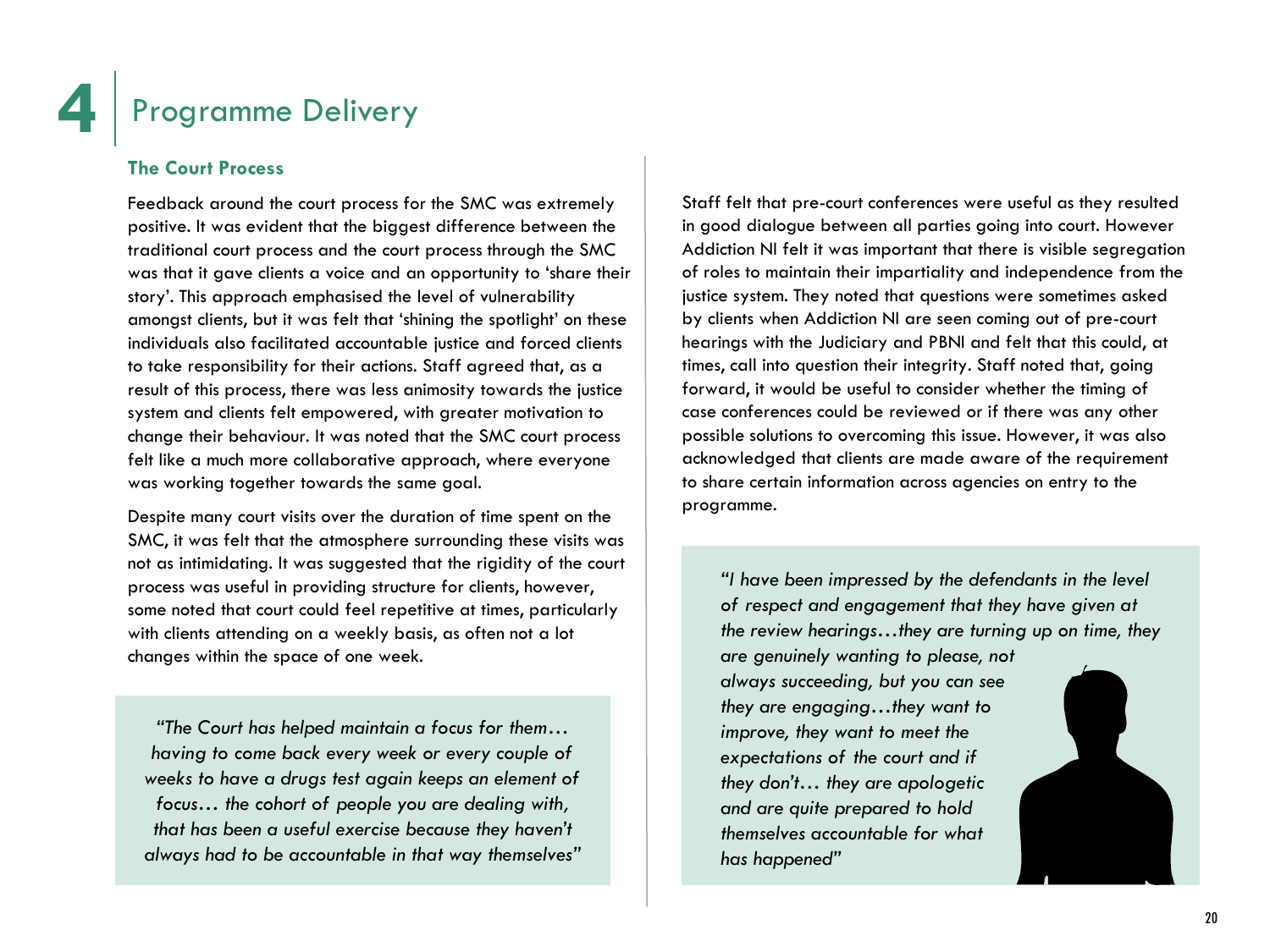### **The Court Process**

Feedback around the court process for the SMC was extremely positive. It was evident that the biggest difference between the traditional court process and the court process through the SMC was that it gave clients a voice and an opportunity to 'share their story'. This approach emphasised the level of vulnerability amongst clients, but it was felt that 'shining the spotlight' on these individuals also facilitated accountable justice and forced clients to take responsibility for their actions. Staff agreed that, as a result of this process, there was less animosity towards the justice system and clients felt empowered, with greater motivation to change their behaviour. It was noted that the SMC court process felt like a much more collaborative approach, where everyone was working together towards the same goal.

Despite many court visits over the duration of time spent on the SMC, it was felt that the atmosphere surrounding these visits was not as intimidating. It was suggested that the rigidity of the court process was useful in providing structure for clients, however, some noted that court could feel repetitive at times, particularly with clients attending on a weekly basis, as often not a lot changes within the space of one week.

*"The Court has helped maintain a focus for them… having to come back every week or every couple of weeks to have a drugs test again keeps an element of focus… the cohort of people you are dealing with, that has been a useful exercise because they haven't always had to be accountable in that way themselves"*

Staff felt that pre-court conferences were useful as they resulted in good dialogue between all parties going into court. However Addiction NI felt it was important that there is visible segregation of roles to maintain their impartiality and independence from the justice system. They noted that questions were sometimes asked by clients when Addiction NI are seen coming out of pre-court hearings with the Judiciary and PBNI and felt that this could, at times, call into question their integrity. Staff noted that, going forward, it would be useful to consider whether the timing of case conferences could be reviewed or if there was any other possible solutions to overcoming this issue. However, it was also acknowledged that clients are made aware of the requirement to share certain information across agencies on entry to the programme.

*"I have been impressed by the defendants in the level of respect and engagement that they have given at the review hearings…they are turning up on time, they* 

*are genuinely wanting to please, not always succeeding, but you can see they are engaging…they want to improve, they want to meet the expectations of the court and if they don't… they are apologetic and are quite prepared to hold themselves accountable for what has happened"*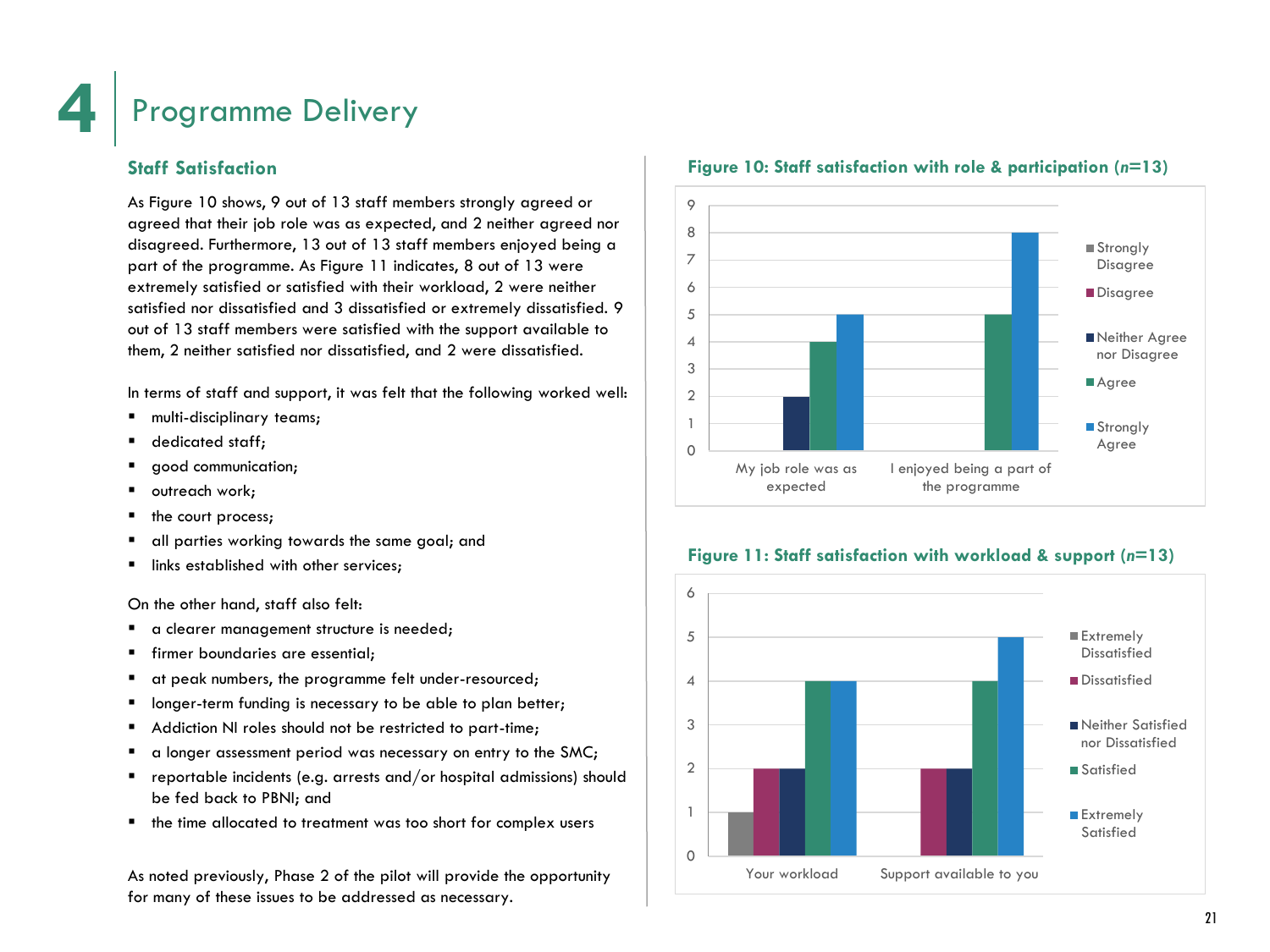### **Staff Satisfaction**

As Figure 10 shows, 9 out of 13 staff members strongly agreed or agreed that their job role was as expected, and 2 neither agreed nor disagreed. Furthermore, 13 out of 13 staff members enjoyed being a part of the programme. As Figure 11 indicates, 8 out of 13 were extremely satisfied or satisfied with their workload, 2 were neither satisfied nor dissatisfied and 3 dissatisfied or extremely dissatisfied. 9 out of 13 staff members were satisfied with the support available to them, 2 neither satisfied nor dissatisfied, and 2 were dissatisfied.

In terms of staff and support, it was felt that the following worked well:

- multi-disciplinary teams;
- **dedicated staff;**
- qood communication;
- **•** outreach work;
- the court process;
- all parties working towards the same goal; and
- **If** links established with other services;

On the other hand, staff also felt:

- a clearer management structure is needed;
- **firmer boundaries are essential:**
- at peak numbers, the programme felt under-resourced;
- **IDED** longer-term funding is necessary to be able to plan better;
- Addiction NI roles should not be restricted to part-time;
- a longer assessment period was necessary on entry to the SMC;
- **•** reportable incidents (e.g. arrests and/or hospital admissions) should be fed back to PBNI; and
- **the time allocated to treatment was too short for complex users**

As noted previously, Phase 2 of the pilot will provide the opportunity for many of these issues to be addressed as necessary.

![](_page_23_Figure_22.jpeg)

#### **Figure 10: Staff satisfaction with role & participation (***n***=13)**

![](_page_23_Figure_24.jpeg)

![](_page_23_Figure_25.jpeg)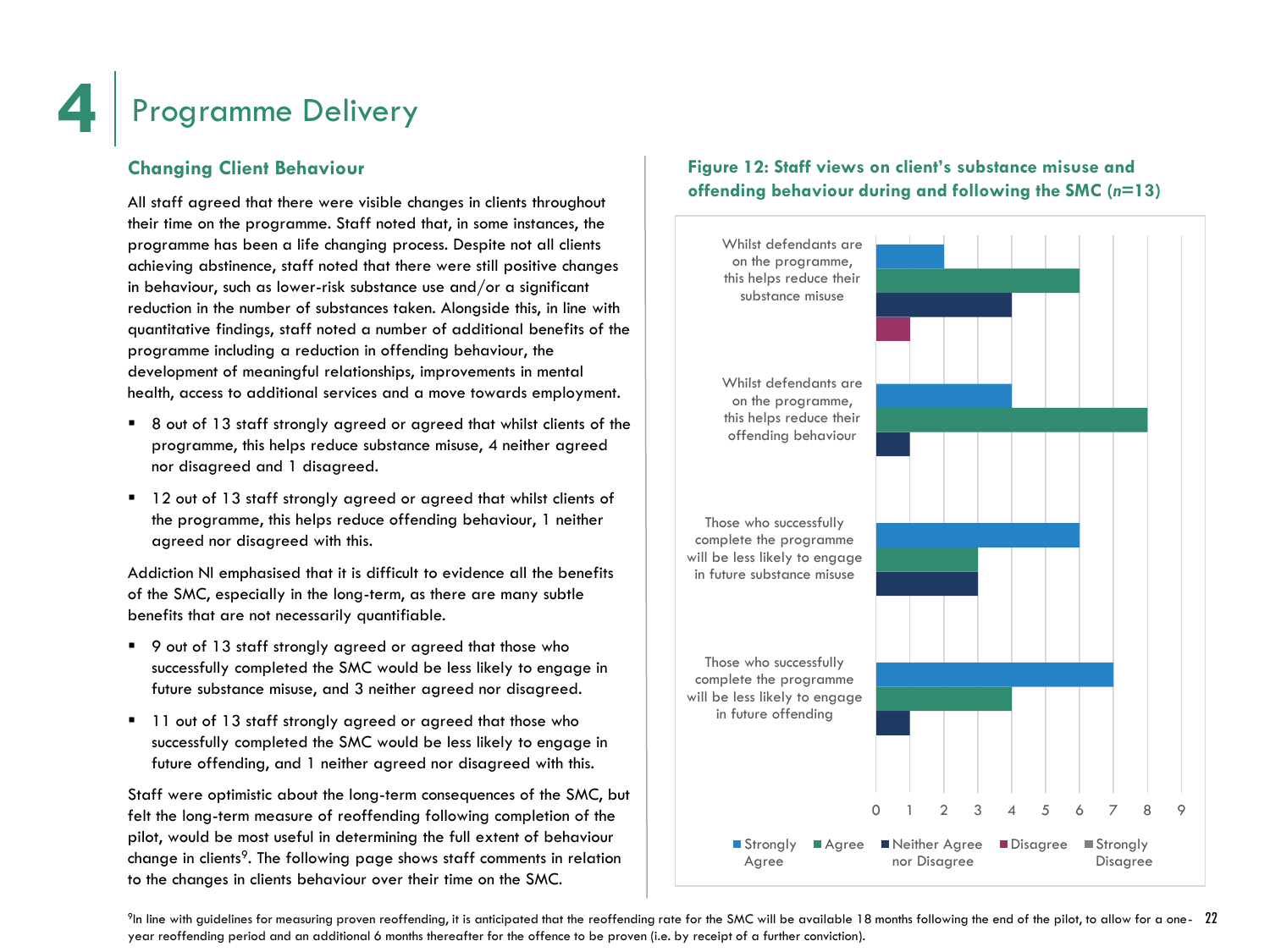### **Changing Client Behaviour**

All staff agreed that there were visible changes in clients throughout their time on the programme. Staff noted that, in some instances, the programme has been a life changing process. Despite not all clients achieving abstinence, staff noted that there were still positive changes in behaviour, such as lower-risk substance use and/or a significant reduction in the number of substances taken. Alongside this, in line with quantitative findings, staff noted a number of additional benefits of the programme including a reduction in offending behaviour, the development of meaningful relationships, improvements in mental health, access to additional services and a move towards employment.

- 8 out of 13 staff strongly agreed or agreed that whilst clients of the programme, this helps reduce substance misuse, 4 neither agreed nor disagreed and 1 disagreed.
- <sup>1</sup> 12 out of 13 staff strongly agreed or agreed that whilst clients of the programme, this helps reduce offending behaviour, 1 neither agreed nor disagreed with this.

Addiction NI emphasised that it is difficult to evidence all the benefits of the SMC, especially in the long-term, as there are many subtle benefits that are not necessarily quantifiable.

- 9 out of 13 staff strongly agreed or agreed that those who successfully completed the SMC would be less likely to engage in future substance misuse, and 3 neither agreed nor disagreed.
- <sup>1</sup> 11 out of 13 staff strongly agreed or agreed that those who successfully completed the SMC would be less likely to engage in future offending, and 1 neither agreed nor disagreed with this.

Staff were optimistic about the long-term consequences of the SMC, but felt the long-term measure of reoffending following completion of the pilot, would be most useful in determining the full extent of behaviour change in clients<sup>9</sup>. The following page shows staff comments in relation to the changes in clients behaviour over their time on the SMC.

### **Figure 12: Staff views on client's substance misuse and offending behaviour during and following the SMC (***n***=13)**

![](_page_24_Figure_11.jpeg)

 $^{\circ}$ In line with guidelines for measuring proven reoffending, it is anticipated that the reoffending rate for the SMC will be available 18 months following the end of the pilot, to allow for a one-  $22$ year reoffending period and an additional 6 months thereafter for the offence to be proven (i.e. by receipt of a further conviction).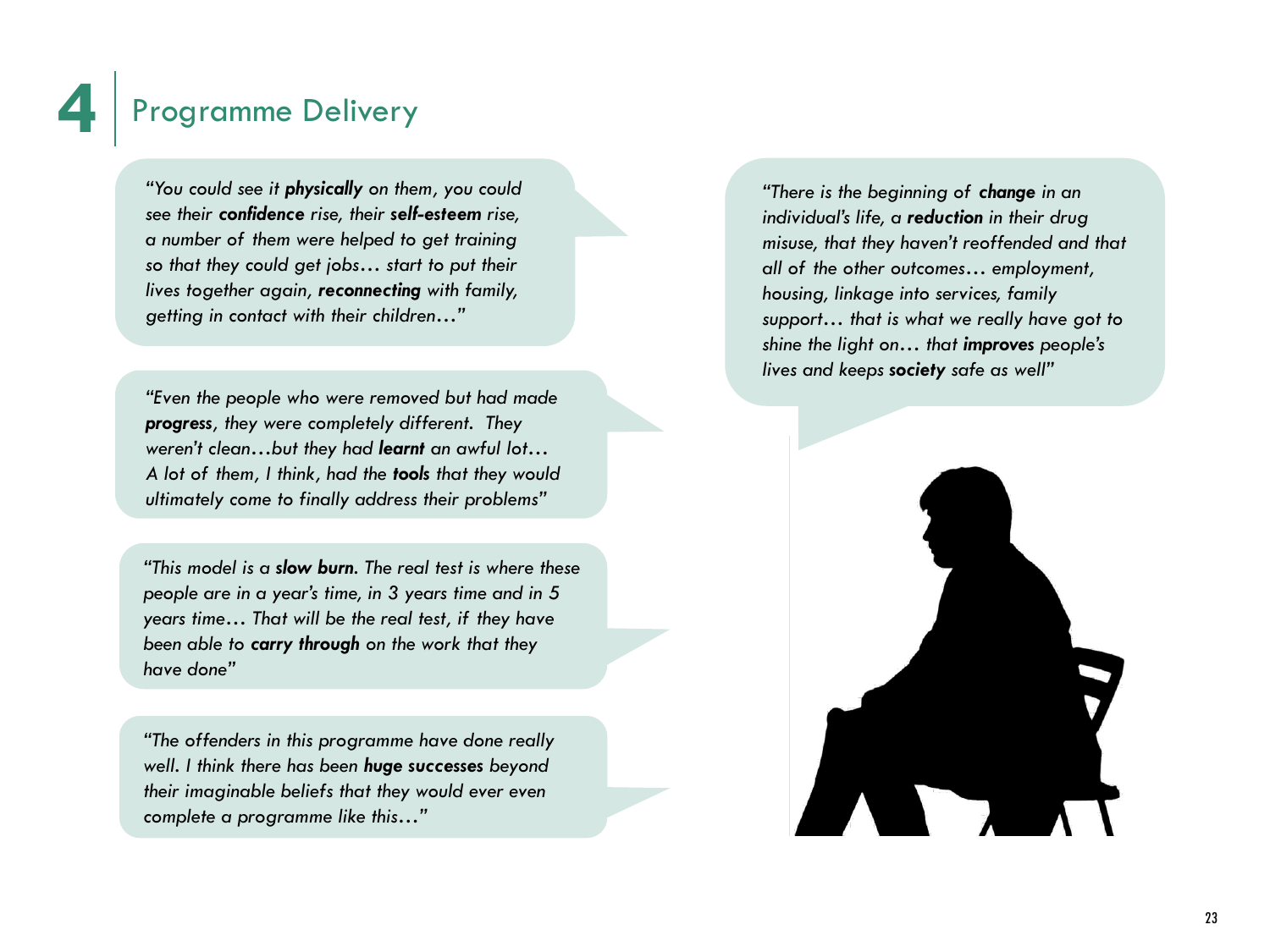*"You could see it physically on them, you could see their confidence rise, their self-esteem rise, a number of them were helped to get training so that they could get jobs… start to put their lives together again, reconnecting with family, getting in contact with their children…"*

*"Even the people who were removed but had made progress, they were completely different. They weren't clean…but they had learnt an awful lot… A lot of them, I think, had the tools that they would ultimately come to finally address their problems"*

*"This model is a slow burn. The real test is where these people are in a year's time, in 3 years time and in 5 years time… That will be the real test, if they have been able to carry through on the work that they have done"*

*"The offenders in this programme have done really well. I think there has been huge successes beyond their imaginable beliefs that they would ever even complete a programme like this…"*

*"There is the beginning of change in an individual's life, a reduction in their drug misuse, that they haven't reoffended and that all of the other outcomes… employment, housing, linkage into services, family support… that is what we really have got to shine the light on… that improves people's lives and keeps society safe as well"*

![](_page_25_Picture_6.jpeg)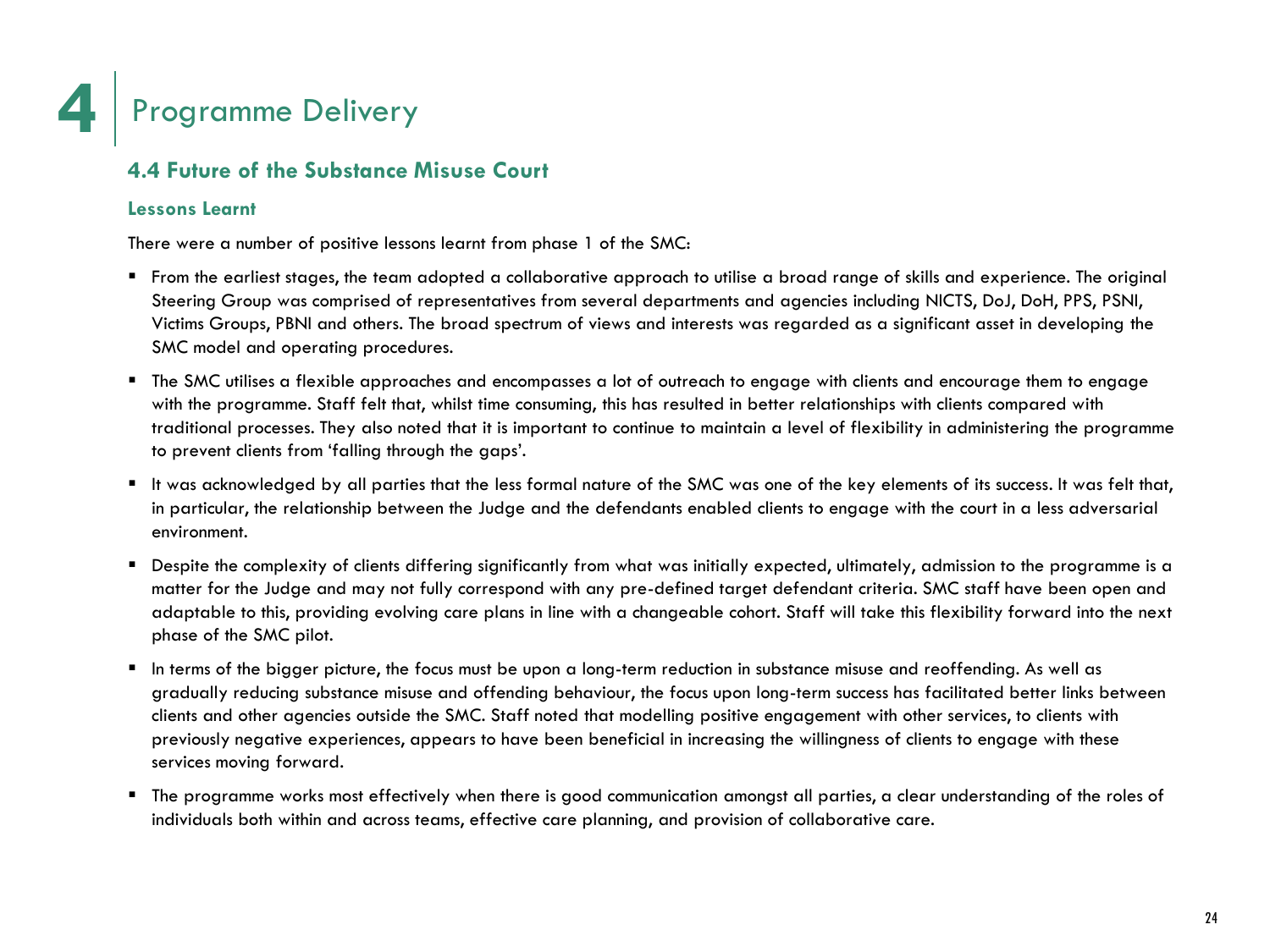![](_page_26_Picture_0.jpeg)

### **4.4 Future of the Substance Misuse Court**

### **Lessons Learnt**

There were a number of positive lessons learnt from phase 1 of the SMC:

- From the earliest stages, the team adopted a collaborative approach to utilise a broad range of skills and experience. The original Steering Group was comprised of representatives from several departments and agencies including NICTS, DoJ, DoH, PPS, PSNI, Victims Groups, PBNI and others. The broad spectrum of views and interests was regarded as a significant asset in developing the SMC model and operating procedures.
- The SMC utilises a flexible approaches and encompasses a lot of outreach to engage with clients and encourage them to engage with the programme. Staff felt that, whilst time consuming, this has resulted in better relationships with clients compared with traditional processes. They also noted that it is important to continue to maintain a level of flexibility in administering the programme to prevent clients from 'falling through the gaps'.
- It was acknowledged by all parties that the less formal nature of the SMC was one of the key elements of its success. It was felt that, in particular, the relationship between the Judge and the defendants enabled clients to engage with the court in a less adversarial environment.
- **•** Despite the complexity of clients differing significantly from what was initially expected, ultimately, admission to the programme is a matter for the Judge and may not fully correspond with any pre-defined target defendant criteria. SMC staff have been open and adaptable to this, providing evolving care plans in line with a changeable cohort. Staff will take this flexibility forward into the next phase of the SMC pilot.
- In terms of the bigger picture, the focus must be upon a long-term reduction in substance misuse and reoffending. As well as gradually reducing substance misuse and offending behaviour, the focus upon long-term success has facilitated better links between clients and other agencies outside the SMC. Staff noted that modelling positive engagement with other services, to clients with previously negative experiences, appears to have been beneficial in increasing the willingness of clients to engage with these services moving forward.
- The programme works most effectively when there is good communication amongst all parties, a clear understanding of the roles of individuals both within and across teams, effective care planning, and provision of collaborative care.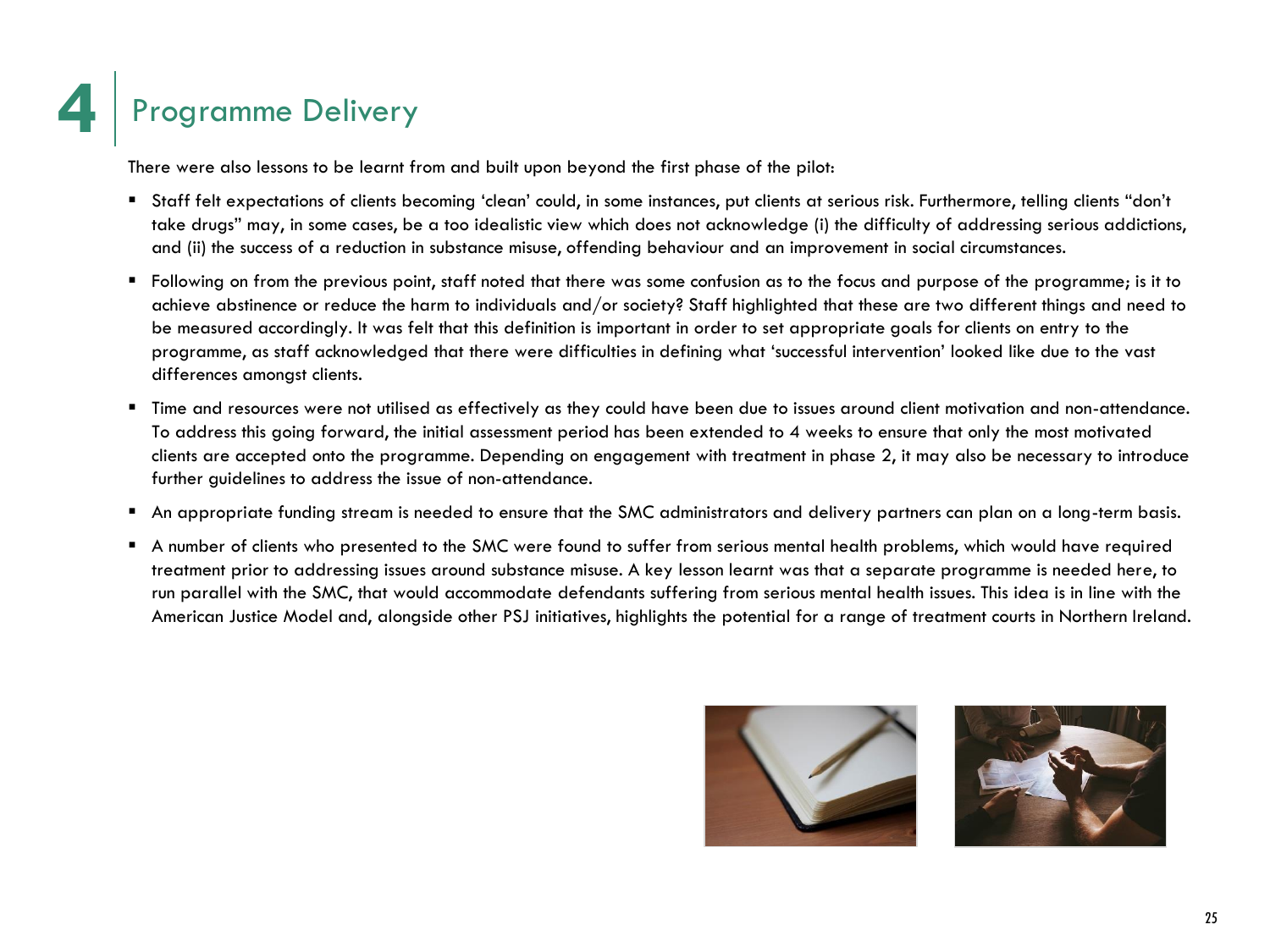There were also lessons to be learnt from and built upon beyond the first phase of the pilot:

- Staff felt expectations of clients becoming 'clean' could, in some instances, put clients at serious risk. Furthermore, telling clients "don't take drugs" may, in some cases, be a too idealistic view which does not acknowledge (i) the difficulty of addressing serious addictions, and (ii) the success of a reduction in substance misuse, offending behaviour and an improvement in social circumstances.
- Following on from the previous point, staff noted that there was some confusion as to the focus and purpose of the programme; is it to achieve abstinence or reduce the harm to individuals and/or society? Staff highlighted that these are two different things and need to be measured accordingly. It was felt that this definition is important in order to set appropriate goals for clients on entry to the programme, as staff acknowledged that there were difficulties in defining what 'successful intervention' looked like due to the vast differences amongst clients.
- Time and resources were not utilised as effectively as they could have been due to issues around client motivation and non-attendance. To address this going forward, the initial assessment period has been extended to 4 weeks to ensure that only the most motivated clients are accepted onto the programme. Depending on engagement with treatment in phase 2, it may also be necessary to introduce further guidelines to address the issue of non-attendance.
- An appropriate funding stream is needed to ensure that the SMC administrators and delivery partners can plan on a long-term basis.
- A number of clients who presented to the SMC were found to suffer from serious mental health problems, which would have required treatment prior to addressing issues around substance misuse. A key lesson learnt was that a separate programme is needed here, to run parallel with the SMC, that would accommodate defendants suffering from serious mental health issues. This idea is in line with the American Justice Model and, alongside other PSJ initiatives, highlights the potential for a range of treatment courts in Northern Ireland.

![](_page_27_Picture_7.jpeg)

![](_page_27_Picture_8.jpeg)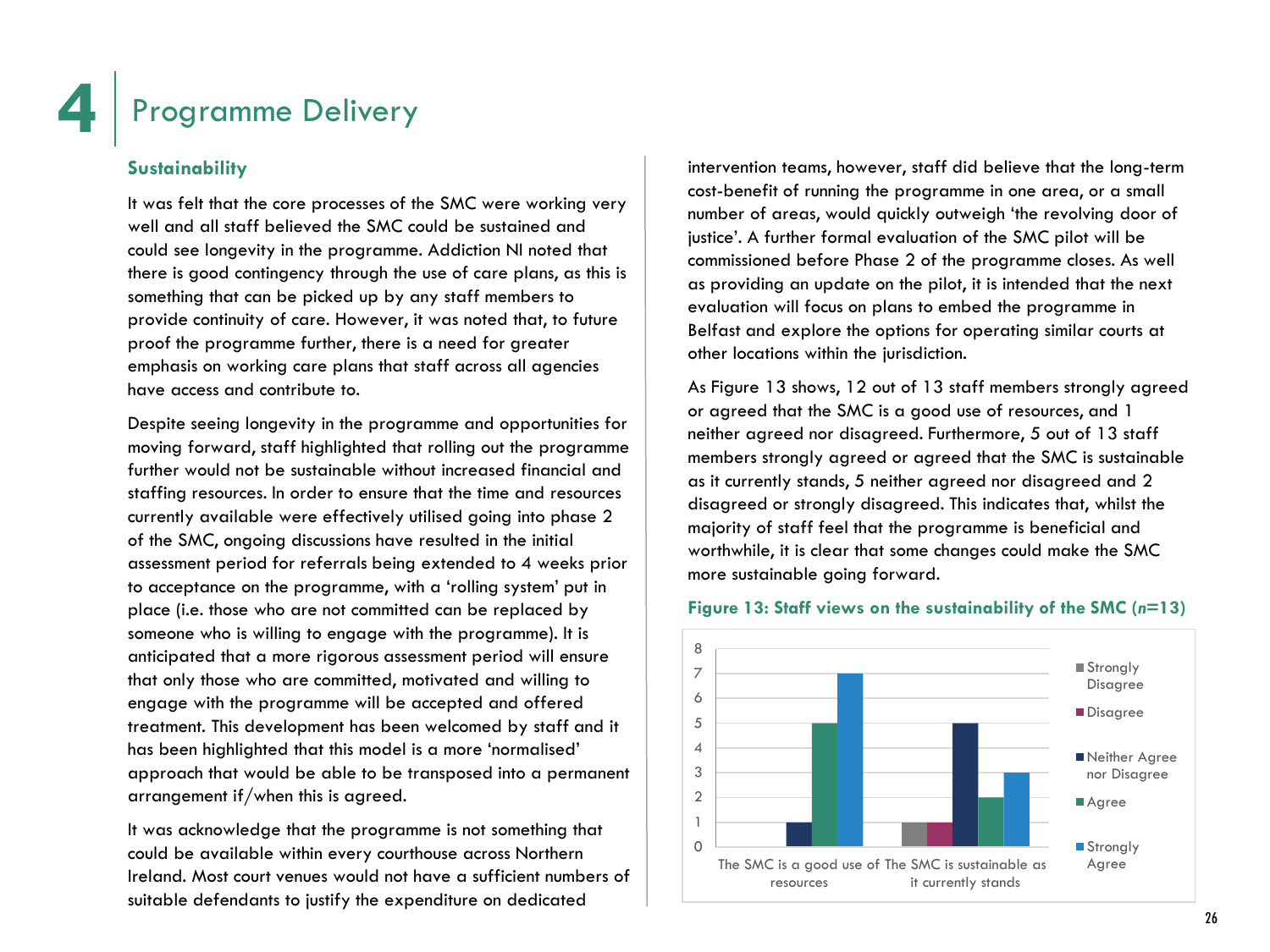### **Sustainability**

It was felt that the core processes of the SMC were working very well and all staff believed the SMC could be sustained and could see longevity in the programme. Addiction NI noted that there is good contingency through the use of care plans, as this is something that can be picked up by any staff members to provide continuity of care. However, it was noted that, to future proof the programme further, there is a need for greater emphasis on working care plans that staff across all agencies have access and contribute to.

Despite seeing longevity in the programme and opportunities for moving forward, staff highlighted that rolling out the programme further would not be sustainable without increased financial and staffing resources. In order to ensure that the time and resources currently available were effectively utilised going into phase 2 of the SMC, ongoing discussions have resulted in the initial assessment period for referrals being extended to 4 weeks prior to acceptance on the programme, with a 'rolling system' put in place (i.e. those who are not committed can be replaced by someone who is willing to engage with the programme). It is anticipated that a more rigorous assessment period will ensure that only those who are committed, motivated and willing to engage with the programme will be accepted and offered treatment. This development has been welcomed by staff and it has been highlighted that this model is a more 'normalised' approach that would be able to be transposed into a permanent arrangement if/when this is agreed.

It was acknowledge that the programme is not something that could be available within every courthouse across Northern Ireland. Most court venues would not have a sufficient numbers of suitable defendants to justify the expenditure on dedicated

intervention teams, however, staff did believe that the long-term cost-benefit of running the programme in one area, or a small number of areas, would quickly outweigh 'the revolving door of justice'. A further formal evaluation of the SMC pilot will be commissioned before Phase 2 of the programme closes. As well as providing an update on the pilot, it is intended that the next evaluation will focus on plans to embed the programme in Belfast and explore the options for operating similar courts at other locations within the jurisdiction.

As Figure 13 shows, 12 out of 13 staff members strongly agreed or agreed that the SMC is a good use of resources, and 1 neither agreed nor disagreed. Furthermore, 5 out of 13 staff members strongly agreed or agreed that the SMC is sustainable as it currently stands, 5 neither agreed nor disagreed and 2 disagreed or strongly disagreed. This indicates that, whilst the majority of staff feel that the programme is beneficial and worthwhile, it is clear that some changes could make the SMC more sustainable going forward.

#### **Figure 13: Staff views on the sustainability of the SMC (***n***=13)**

![](_page_28_Figure_9.jpeg)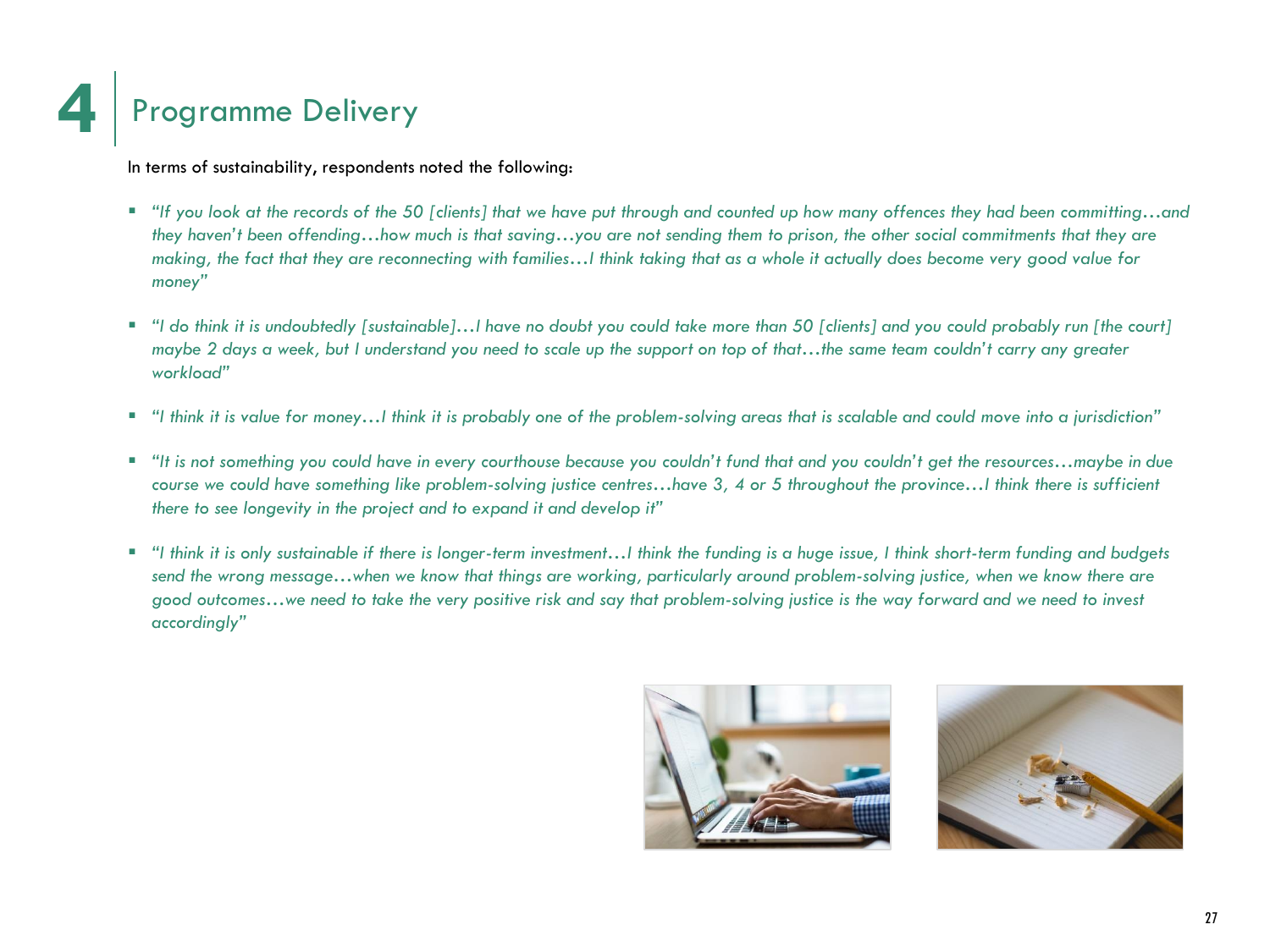![](_page_29_Picture_0.jpeg)

In terms of sustainability, respondents noted the following:

- *"If you look at the records of the 50 [clients] that we have put through and counted up how many offences they had been committing…and they haven't been offending…how much is that saving…you are not sending them to prison, the other social commitments that they are making, the fact that they are reconnecting with families…I think taking that as a whole it actually does become very good value for money"*
- *"I do think it is undoubtedly [sustainable]…I have no doubt you could take more than 50 [clients] and you could probably run [the court] maybe 2 days a week, but I understand you need to scale up the support on top of that…the same team couldn't carry any greater workload"*
- *"I think it is value for money…I think it is probably one of the problem-solving areas that is scalable and could move into a jurisdiction"*
- *"It is not something you could have in every courthouse because you couldn't fund that and you couldn't get the resources…maybe in due course we could have something like problem-solving justice centres…have 3, 4 or 5 throughout the province…I think there is sufficient there to see longevity in the project and to expand it and develop it"*
- *"I think it is only sustainable if there is longer-term investment…I think the funding is a huge issue, I think short-term funding and budgets send the wrong message…when we know that things are working, particularly around problem-solving justice, when we know there are good outcomes…we need to take the very positive risk and say that problem-solving justice is the way forward and we need to invest accordingly"*

![](_page_29_Picture_7.jpeg)

![](_page_29_Picture_8.jpeg)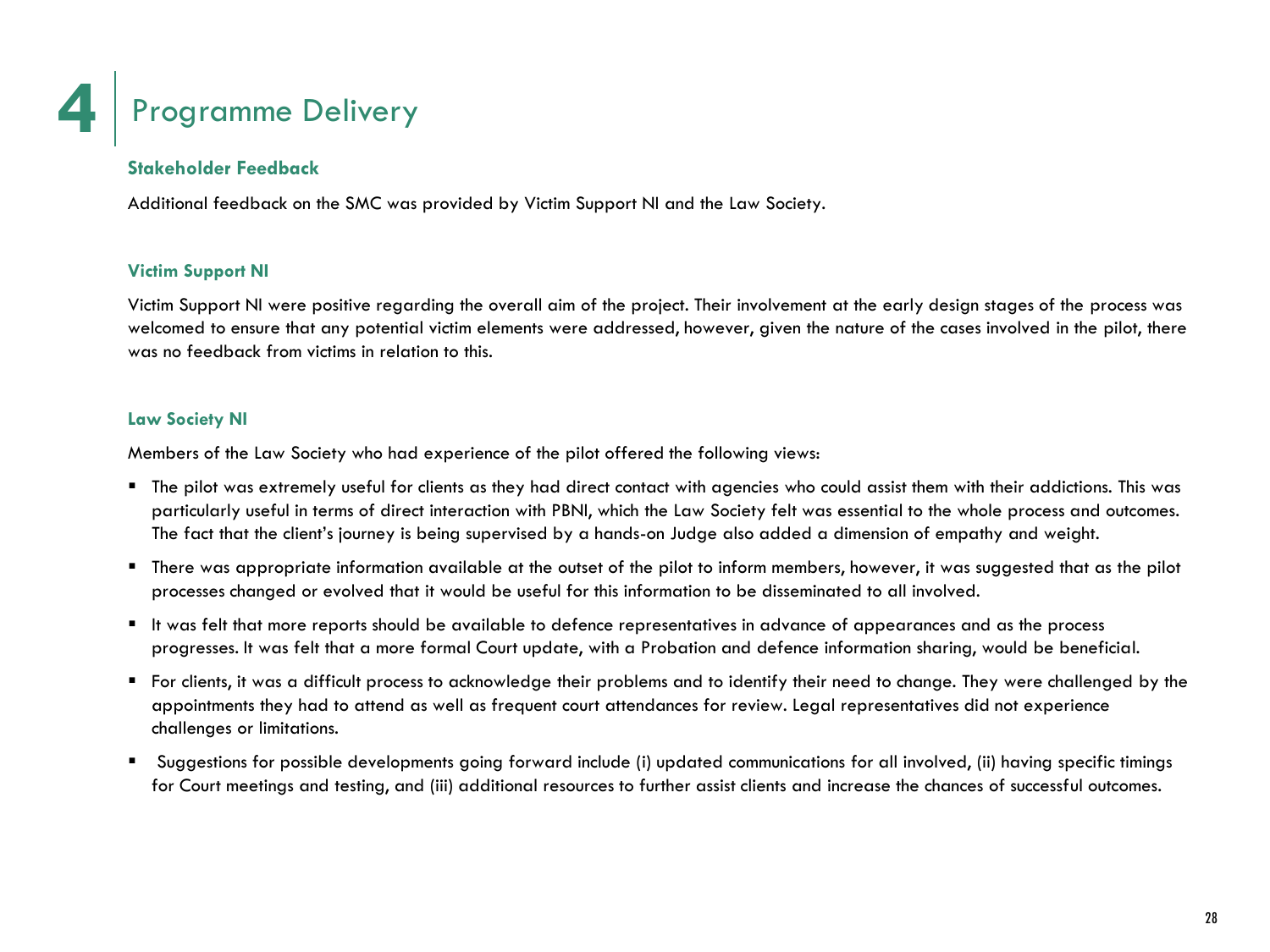![](_page_30_Picture_0.jpeg)

### **Stakeholder Feedback**

Additional feedback on the SMC was provided by Victim Support NI and the Law Society.

### **Victim Support NI**

Victim Support NI were positive regarding the overall aim of the project. Their involvement at the early design stages of the process was welcomed to ensure that any potential victim elements were addressed, however, given the nature of the cases involved in the pilot, there was no feedback from victims in relation to this.

#### **Law Society NI**

Members of the Law Society who had experience of the pilot offered the following views:

- The pilot was extremely useful for clients as they had direct contact with agencies who could assist them with their addictions. This was particularly useful in terms of direct interaction with PBNI, which the Law Society felt was essential to the whole process and outcomes. The fact that the client's journey is being supervised by a hands-on Judge also added a dimension of empathy and weight.
- There was appropriate information available at the outset of the pilot to inform members, however, it was suggested that as the pilot processes changed or evolved that it would be useful for this information to be disseminated to all involved.
- It was felt that more reports should be available to defence representatives in advance of appearances and as the process progresses. It was felt that a more formal Court update, with a Probation and defence information sharing, would be beneficial.
- For clients, it was a difficult process to acknowledge their problems and to identify their need to change. They were challenged by the appointments they had to attend as well as frequent court attendances for review. Legal representatives did not experience challenges or limitations.
- Suggestions for possible developments going forward include (i) updated communications for all involved, (ii) having specific timings for Court meetings and testing, and (iii) additional resources to further assist clients and increase the chances of successful outcomes.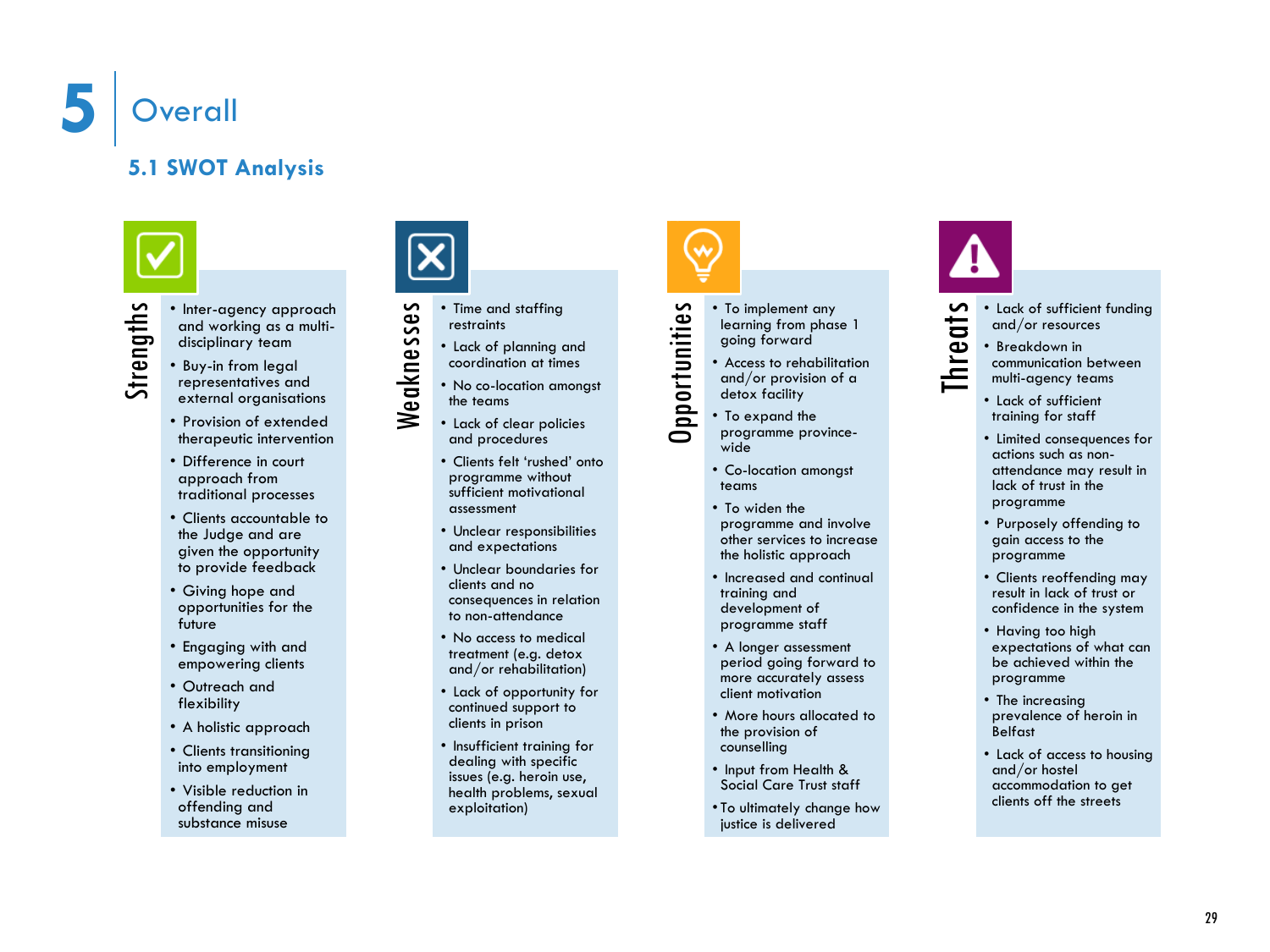![](_page_31_Picture_0.jpeg)

### **5.1 SWOT Analysis**

![](_page_31_Picture_3.jpeg)

- 
- Strengthsending a general strengths and working as a multi-<br>disciplinary team<br>• Buy-in from legal<br>• representatives and<br>• representatives and and working as a multi disciplinary team
	- Buy -in from legal representatives and external organisations
	- Provision of extended therapeutic intervention
	- Difference in court approach from traditional processes
	- Clients accountable to the Judge and are given the opportunity to provide feedback
	- Giving hope and opportunities for the future
	- Engaging with and empowering clients
	- Outreach and flexibility
	- A holistic approach
	- Clients transitioning into employment
	- Visible reduction in offending and substance misuse

![](_page_31_Picture_16.jpeg)

- Weaknesses • Time and staffing restraints
	- Lack of planning and coordination at times
	- No co -location amongst the teams
	- Lack of clear policies and procedures
	- Clients felt 'rushed' onto programme without sufficient motivational assessment
	- Unclear responsibilities and expectations
	- Unclear boundaries for clients and no consequences in relation to non -attendance
	- No access to medical treatment (e.g. detox and/or rehabilitation)
	- Lack of opportunity for continued support to clients in prison
	- Insufficient training for dealing with specific issues (e.g. heroin use, health problems, sexual exploitation)

![](_page_31_Picture_27.jpeg)

- To implement any learning from phase 1 going forward
- Access to rehabilitation and/or provision of a detox facility
- 
- Co -location amongst
- To widen the
- programme and involve other services to increase the holistic approach
- Increased and continual training and development of programme staff
- A longer assessment period going forward to more accurately assess client motivation
- More hours allocated to the provision of counselling
- Input from Health & Social Care Trust staff
- To ultimately change how justice is delivered

![](_page_31_Picture_39.jpeg)

- **Threats** Lack of sufficient funding and/or resources
	- Breakdown in communication between multi -agency teams
	- Lack of sufficient training for staff
	- Limited consequences for actions such as non attendance may result in lack of trust in the programme
	- Purposely offending to gain access to the programme
	- Clients reoffending may result in lack of trust or confidence in the system
	- Having too high expectations of what can be achieved within the programme
	- The increasing prevalence of heroin in Belfast
	- Lack of access to housing and/or hostel accommodation to get clients off the streets

teams

![](_page_31_Picture_51.jpeg)

![](_page_31_Picture_52.jpeg)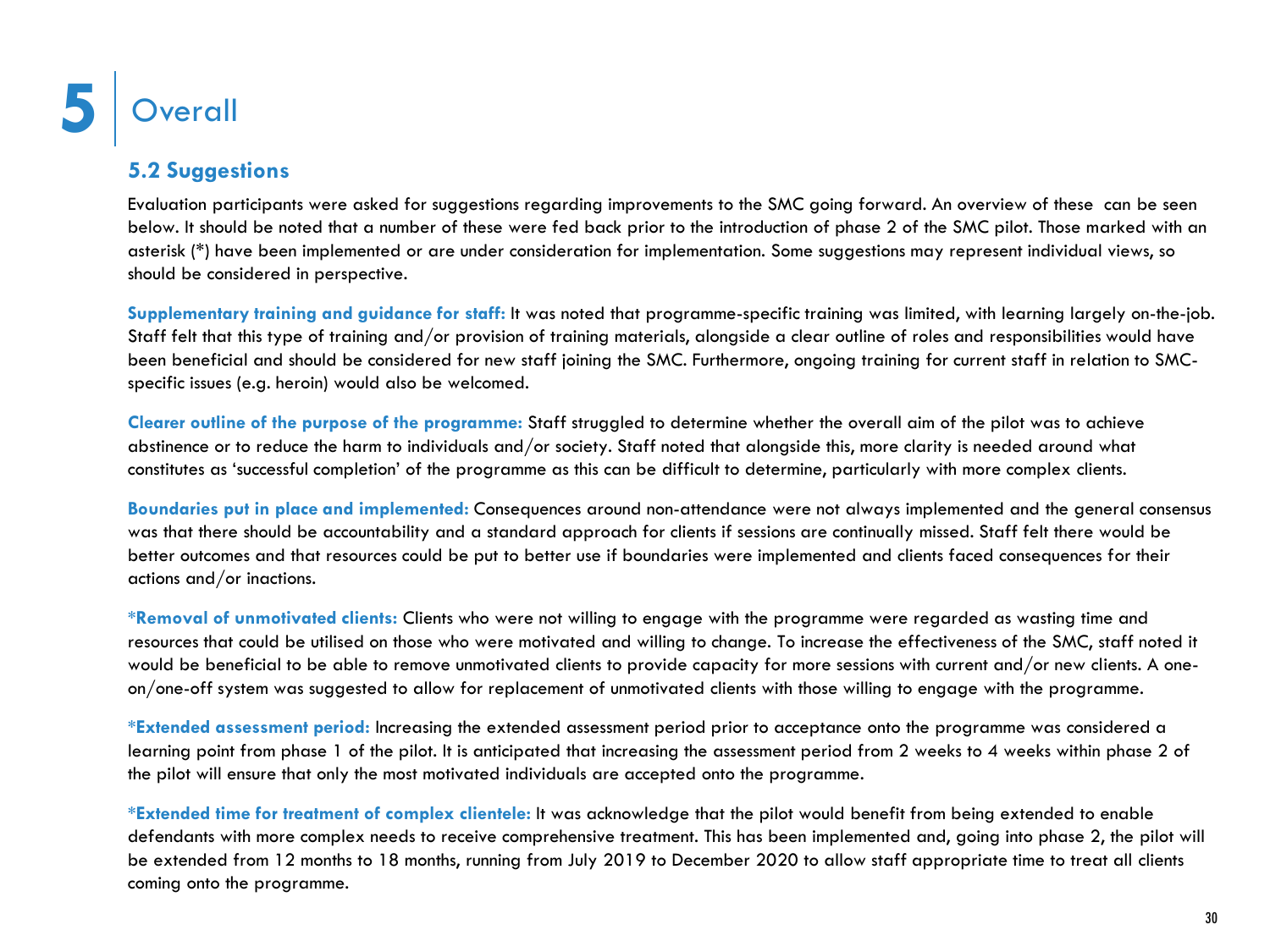### **5.2 Suggestions**

Evaluation participants were asked for suggestions regarding improvements to the SMC going forward. An overview of these can be seen below. It should be noted that a number of these were fed back prior to the introduction of phase 2 of the SMC pilot. Those marked with an asterisk (\*) have been implemented or are under consideration for implementation. Some suggestions may represent individual views, so should be considered in perspective.

**Supplementary training and guidance for staff:** It was noted that programme-specific training was limited, with learning largely on-the-job. Staff felt that this type of training and/or provision of training materials, alongside a clear outline of roles and responsibilities would have been beneficial and should be considered for new staff joining the SMC. Furthermore, ongoing training for current staff in relation to SMCspecific issues (e.g. heroin) would also be welcomed.

**Clearer outline of the purpose of the programme:** Staff struggled to determine whether the overall aim of the pilot was to achieve abstinence or to reduce the harm to individuals and/or society. Staff noted that alongside this, more clarity is needed around what constitutes as 'successful completion' of the programme as this can be difficult to determine, particularly with more complex clients.

**Boundaries put in place and implemented:** Consequences around non-attendance were not always implemented and the general consensus was that there should be accountability and a standard approach for clients if sessions are continually missed. Staff felt there would be better outcomes and that resources could be put to better use if boundaries were implemented and clients faced consequences for their actions and/or inactions.

**\*Removal of unmotivated clients:** Clients who were not willing to engage with the programme were regarded as wasting time and resources that could be utilised on those who were motivated and willing to change. To increase the effectiveness of the SMC, staff noted it would be beneficial to be able to remove unmotivated clients to provide capacity for more sessions with current and/or new clients. A oneon/one-off system was suggested to allow for replacement of unmotivated clients with those willing to engage with the programme.

**\*Extended assessment period:** Increasing the extended assessment period prior to acceptance onto the programme was considered a learning point from phase 1 of the pilot. It is anticipated that increasing the assessment period from 2 weeks to 4 weeks within phase 2 of the pilot will ensure that only the most motivated individuals are accepted onto the programme.

**\*Extended time for treatment of complex clientele:** It was acknowledge that the pilot would benefit from being extended to enable defendants with more complex needs to receive comprehensive treatment. This has been implemented and, going into phase 2, the pilot will be extended from 12 months to 18 months, running from July 2019 to December 2020 to allow staff appropriate time to treat all clients coming onto the programme.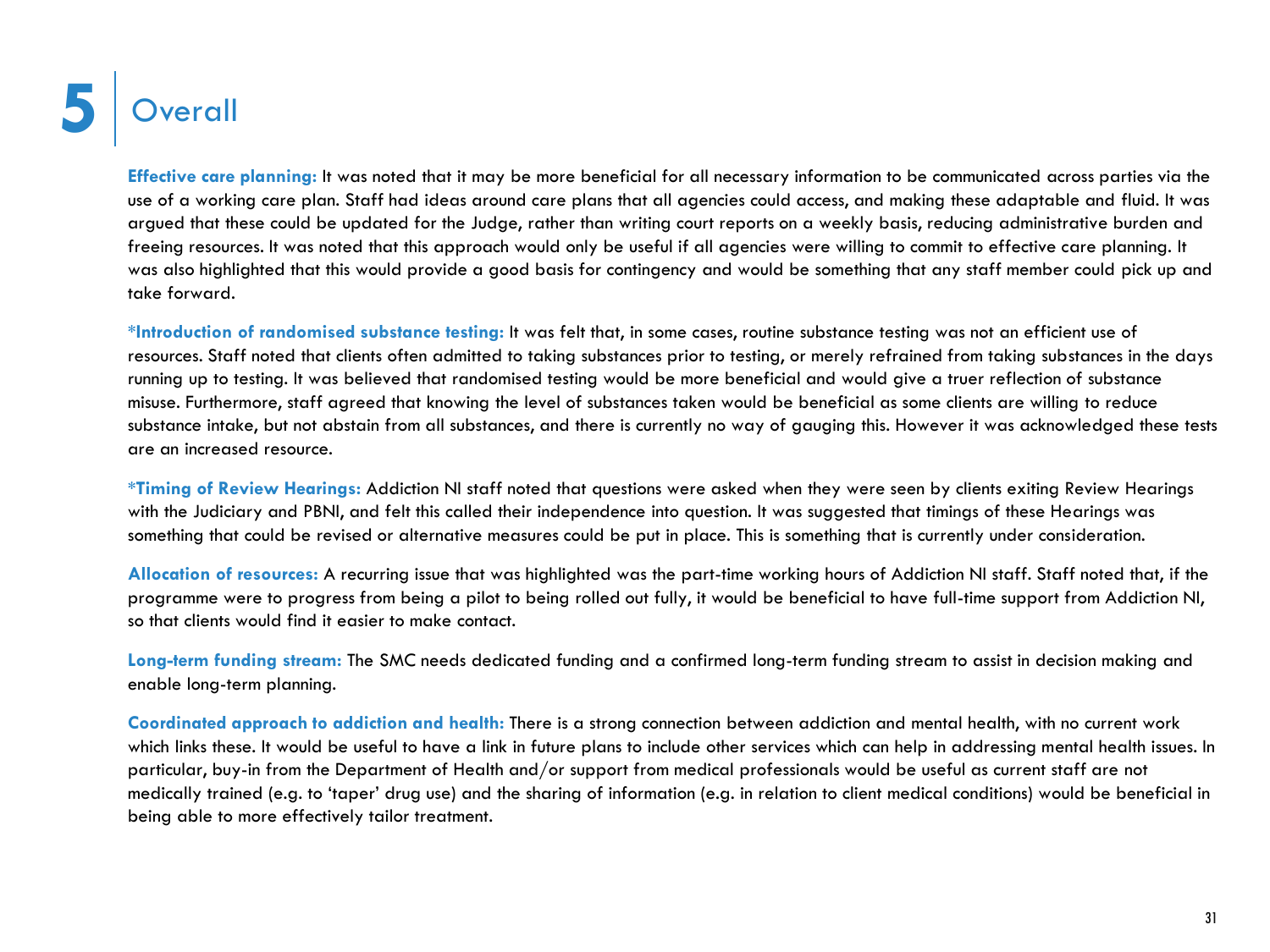![](_page_33_Picture_0.jpeg)

**Effective care planning:** It was noted that it may be more beneficial for all necessary information to be communicated across parties via the use of a working care plan. Staff had ideas around care plans that all agencies could access, and making these adaptable and fluid. It was argued that these could be updated for the Judge, rather than writing court reports on a weekly basis, reducing administrative burden and freeing resources. It was noted that this approach would only be useful if all agencies were willing to commit to effective care planning. It was also highlighted that this would provide a good basis for contingency and would be something that any staff member could pick up and take forward.

**\*Introduction of randomised substance testing:** It was felt that, in some cases, routine substance testing was not an efficient use of resources. Staff noted that clients often admitted to taking substances prior to testing, or merely refrained from taking substances in the days running up to testing. It was believed that randomised testing would be more beneficial and would give a truer reflection of substance misuse. Furthermore, staff agreed that knowing the level of substances taken would be beneficial as some clients are willing to reduce substance intake, but not abstain from all substances, and there is currently no way of gauging this. However it was acknowledged these tests are an increased resource.

**\*Timing of Review Hearings:** Addiction NI staff noted that questions were asked when they were seen by clients exiting Review Hearings with the Judiciary and PBNI, and felt this called their independence into question. It was suggested that timings of these Hearings was something that could be revised or alternative measures could be put in place. This is something that is currently under consideration.

**Allocation of resources:** A recurring issue that was highlighted was the part-time working hours of Addiction NI staff. Staff noted that, if the programme were to progress from being a pilot to being rolled out fully, it would be beneficial to have full-time support from Addiction NI, so that clients would find it easier to make contact.

**Long-term funding stream:** The SMC needs dedicated funding and a confirmed long-term funding stream to assist in decision making and enable long-term planning.

**Coordinated approach to addiction and health:** There is a strong connection between addiction and mental health, with no current work which links these. It would be useful to have a link in future plans to include other services which can help in addressing mental health issues. In particular, buy-in from the Department of Health and/or support from medical professionals would be useful as current staff are not medically trained (e.g. to 'taper' drug use) and the sharing of information (e.g. in relation to client medical conditions) would be beneficial in being able to more effectively tailor treatment.